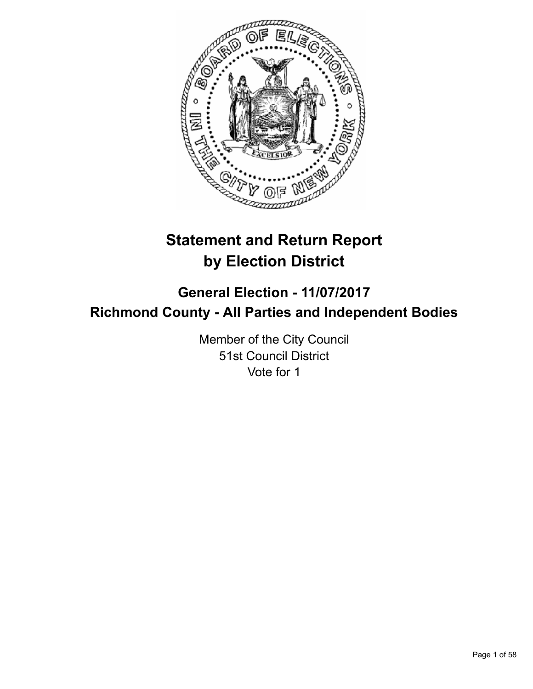

# **Statement and Return Report by Election District**

## **General Election - 11/07/2017 Richmond County - All Parties and Independent Bodies**

Member of the City Council 51st Council District Vote for 1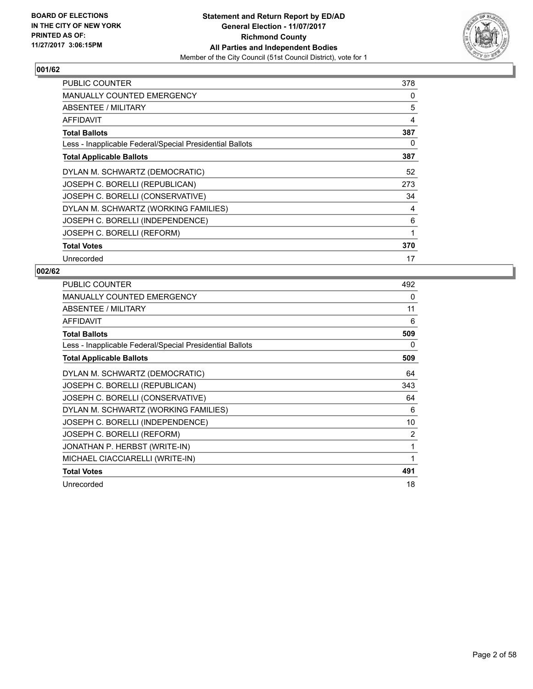

| <b>PUBLIC COUNTER</b>                                    | 378 |
|----------------------------------------------------------|-----|
| MANUALLY COUNTED EMERGENCY                               | 0   |
| ABSENTEE / MILITARY                                      | 5   |
| AFFIDAVIT                                                | 4   |
| <b>Total Ballots</b>                                     | 387 |
| Less - Inapplicable Federal/Special Presidential Ballots | 0   |
| <b>Total Applicable Ballots</b>                          | 387 |
| DYLAN M. SCHWARTZ (DEMOCRATIC)                           | 52  |
| JOSEPH C. BORELLI (REPUBLICAN)                           | 273 |
| JOSEPH C. BORELLI (CONSERVATIVE)                         | 34  |
| DYLAN M. SCHWARTZ (WORKING FAMILIES)                     | 4   |
| JOSEPH C. BORELLI (INDEPENDENCE)                         | 6   |
| JOSEPH C. BORELLI (REFORM)                               | 1   |
| <b>Total Votes</b>                                       | 370 |
| Unrecorded                                               | 17  |

| <b>PUBLIC COUNTER</b>                                    | 492            |
|----------------------------------------------------------|----------------|
| <b>MANUALLY COUNTED EMERGENCY</b>                        | 0              |
| <b>ABSENTEE / MILITARY</b>                               | 11             |
| <b>AFFIDAVIT</b>                                         | 6              |
| <b>Total Ballots</b>                                     | 509            |
| Less - Inapplicable Federal/Special Presidential Ballots | 0              |
| <b>Total Applicable Ballots</b>                          | 509            |
| DYLAN M. SCHWARTZ (DEMOCRATIC)                           | 64             |
| JOSEPH C. BORELLI (REPUBLICAN)                           | 343            |
| JOSEPH C. BORELLI (CONSERVATIVE)                         | 64             |
| DYLAN M. SCHWARTZ (WORKING FAMILIES)                     | 6              |
| JOSEPH C. BORELLI (INDEPENDENCE)                         | 10             |
| JOSEPH C. BORELLI (REFORM)                               | $\overline{2}$ |
| JONATHAN P. HERBST (WRITE-IN)                            | 1              |
| MICHAEL CIACCIARELLI (WRITE-IN)                          | 1              |
| <b>Total Votes</b>                                       | 491            |
| Unrecorded                                               | 18             |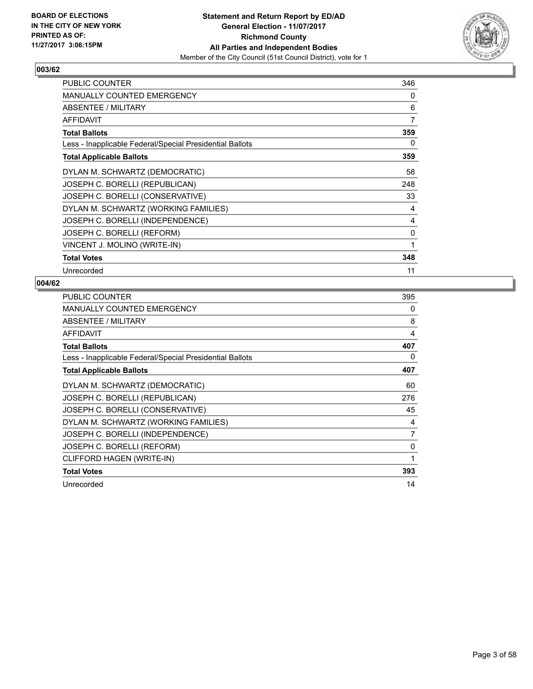

| PUBLIC COUNTER                                           | 346 |
|----------------------------------------------------------|-----|
| <b>MANUALLY COUNTED EMERGENCY</b>                        | 0   |
| ABSENTEE / MILITARY                                      | 6   |
| AFFIDAVIT                                                | 7   |
| <b>Total Ballots</b>                                     | 359 |
| Less - Inapplicable Federal/Special Presidential Ballots | 0   |
| <b>Total Applicable Ballots</b>                          | 359 |
| DYLAN M. SCHWARTZ (DEMOCRATIC)                           | 58  |
| JOSEPH C. BORELLI (REPUBLICAN)                           | 248 |
| JOSEPH C. BORELLI (CONSERVATIVE)                         | 33  |
| DYLAN M. SCHWARTZ (WORKING FAMILIES)                     | 4   |
| JOSEPH C. BORELLI (INDEPENDENCE)                         | 4   |
| JOSEPH C. BORELLI (REFORM)                               | 0   |
| VINCENT J. MOLINO (WRITE-IN)                             | 1   |
| <b>Total Votes</b>                                       | 348 |
| Unrecorded                                               | 11  |

| PUBLIC COUNTER                                           | 395            |
|----------------------------------------------------------|----------------|
| <b>MANUALLY COUNTED EMERGENCY</b>                        | 0              |
| ABSENTEE / MILITARY                                      | 8              |
| <b>AFFIDAVIT</b>                                         | 4              |
| <b>Total Ballots</b>                                     | 407            |
| Less - Inapplicable Federal/Special Presidential Ballots | 0              |
| <b>Total Applicable Ballots</b>                          | 407            |
| DYLAN M. SCHWARTZ (DEMOCRATIC)                           | 60             |
| JOSEPH C. BORELLI (REPUBLICAN)                           | 276            |
| JOSEPH C. BORELLI (CONSERVATIVE)                         | 45             |
| DYLAN M. SCHWARTZ (WORKING FAMILIES)                     | 4              |
| JOSEPH C. BORELLI (INDEPENDENCE)                         | $\overline{7}$ |
| JOSEPH C. BORELLI (REFORM)                               | 0              |
| CLIFFORD HAGEN (WRITE-IN)                                | 1              |
| <b>Total Votes</b>                                       | 393            |
| Unrecorded                                               | 14             |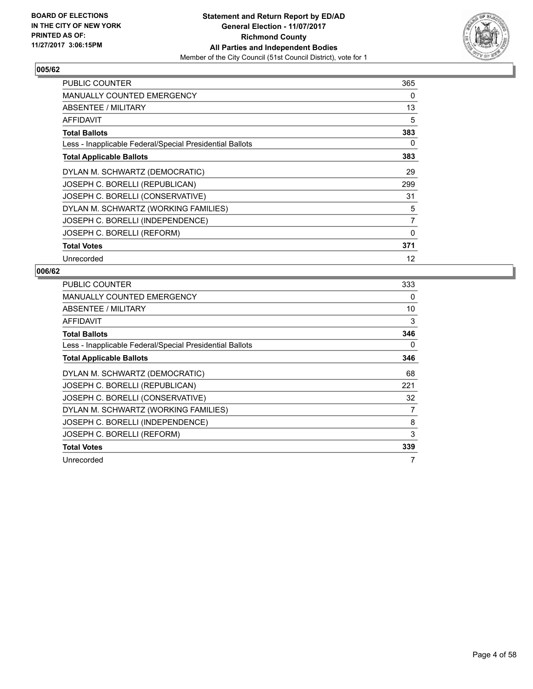

| <b>PUBLIC COUNTER</b>                                    | 365 |
|----------------------------------------------------------|-----|
| <b>MANUALLY COUNTED EMERGENCY</b>                        | 0   |
| ABSENTEE / MILITARY                                      | 13  |
| AFFIDAVIT                                                | 5   |
| <b>Total Ballots</b>                                     | 383 |
| Less - Inapplicable Federal/Special Presidential Ballots | 0   |
| <b>Total Applicable Ballots</b>                          | 383 |
| DYLAN M. SCHWARTZ (DEMOCRATIC)                           | 29  |
| JOSEPH C. BORELLI (REPUBLICAN)                           | 299 |
| JOSEPH C. BORELLI (CONSERVATIVE)                         | 31  |
| DYLAN M. SCHWARTZ (WORKING FAMILIES)                     | 5   |
| JOSEPH C. BORELLI (INDEPENDENCE)                         | 7   |
| JOSEPH C. BORELLI (REFORM)                               | 0   |
| <b>Total Votes</b>                                       | 371 |
| Unrecorded                                               | 12  |

| <b>PUBLIC COUNTER</b>                                    | 333 |
|----------------------------------------------------------|-----|
| MANUALLY COUNTED EMERGENCY                               | 0   |
| ABSENTEE / MILITARY                                      | 10  |
| <b>AFFIDAVIT</b>                                         | 3   |
| <b>Total Ballots</b>                                     | 346 |
| Less - Inapplicable Federal/Special Presidential Ballots | 0   |
| <b>Total Applicable Ballots</b>                          | 346 |
| DYLAN M. SCHWARTZ (DEMOCRATIC)                           | 68  |
| JOSEPH C. BORELLI (REPUBLICAN)                           | 221 |
| JOSEPH C. BORELLI (CONSERVATIVE)                         | 32  |
| DYLAN M. SCHWARTZ (WORKING FAMILIES)                     | 7   |
| JOSEPH C. BORELLI (INDEPENDENCE)                         | 8   |
| JOSEPH C. BORELLI (REFORM)                               | 3   |
| <b>Total Votes</b>                                       | 339 |
| Unrecorded                                               |     |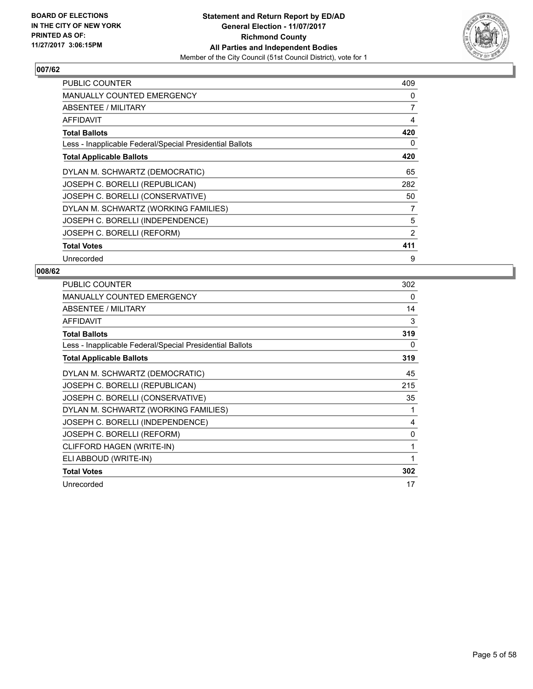

| PUBLIC COUNTER                                           | 409            |
|----------------------------------------------------------|----------------|
| <b>MANUALLY COUNTED EMERGENCY</b>                        | 0              |
| ABSENTEE / MILITARY                                      | 7              |
| AFFIDAVIT                                                | 4              |
| <b>Total Ballots</b>                                     | 420            |
| Less - Inapplicable Federal/Special Presidential Ballots | 0              |
| <b>Total Applicable Ballots</b>                          | 420            |
| DYLAN M. SCHWARTZ (DEMOCRATIC)                           | 65             |
| JOSEPH C. BORELLI (REPUBLICAN)                           | 282            |
| JOSEPH C. BORELLI (CONSERVATIVE)                         | 50             |
| DYLAN M. SCHWARTZ (WORKING FAMILIES)                     | 7              |
| JOSEPH C. BORELLI (INDEPENDENCE)                         | 5              |
| JOSEPH C. BORELLI (REFORM)                               | $\overline{2}$ |
| <b>Total Votes</b>                                       | 411            |
| Unrecorded                                               | 9              |

| PUBLIC COUNTER                                           | 302 |
|----------------------------------------------------------|-----|
| <b>MANUALLY COUNTED EMERGENCY</b>                        | 0   |
| ABSENTEE / MILITARY                                      | 14  |
| <b>AFFIDAVIT</b>                                         | 3   |
| <b>Total Ballots</b>                                     | 319 |
| Less - Inapplicable Federal/Special Presidential Ballots | 0   |
| <b>Total Applicable Ballots</b>                          | 319 |
| DYLAN M. SCHWARTZ (DEMOCRATIC)                           | 45  |
| JOSEPH C. BORELLI (REPUBLICAN)                           | 215 |
| JOSEPH C. BORELLI (CONSERVATIVE)                         | 35  |
| DYLAN M. SCHWARTZ (WORKING FAMILIES)                     | 1   |
| JOSEPH C. BORELLI (INDEPENDENCE)                         | 4   |
| JOSEPH C. BORELLI (REFORM)                               | 0   |
| CLIFFORD HAGEN (WRITE-IN)                                | 1   |
| ELI ABBOUD (WRITE-IN)                                    | 1   |
| <b>Total Votes</b>                                       | 302 |
| Unrecorded                                               | 17  |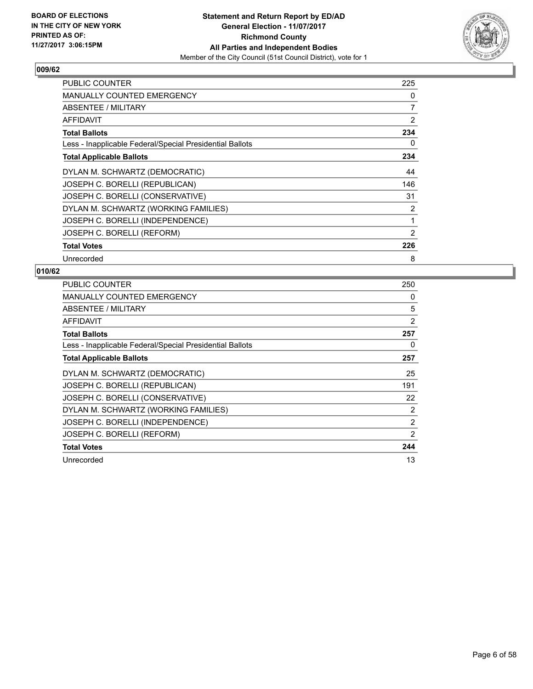

| <b>PUBLIC COUNTER</b>                                    | 225 |
|----------------------------------------------------------|-----|
| MANUALLY COUNTED EMERGENCY                               | 0   |
| ABSENTEE / MILITARY                                      | 7   |
| AFFIDAVIT                                                | 2   |
| <b>Total Ballots</b>                                     | 234 |
| Less - Inapplicable Federal/Special Presidential Ballots | 0   |
| <b>Total Applicable Ballots</b>                          | 234 |
| DYLAN M. SCHWARTZ (DEMOCRATIC)                           | 44  |
| JOSEPH C. BORELLI (REPUBLICAN)                           | 146 |
| JOSEPH C. BORELLI (CONSERVATIVE)                         | 31  |
| DYLAN M. SCHWARTZ (WORKING FAMILIES)                     | 2   |
| JOSEPH C. BORELLI (INDEPENDENCE)                         | 1   |
| JOSEPH C. BORELLI (REFORM)                               | 2   |
| <b>Total Votes</b>                                       | 226 |
| Unrecorded                                               | 8   |

| PUBLIC COUNTER                                           | 250            |
|----------------------------------------------------------|----------------|
| <b>MANUALLY COUNTED EMERGENCY</b>                        | 0              |
| <b>ABSENTEE / MILITARY</b>                               | 5              |
| AFFIDAVIT                                                | 2              |
| <b>Total Ballots</b>                                     | 257            |
| Less - Inapplicable Federal/Special Presidential Ballots | 0              |
| <b>Total Applicable Ballots</b>                          | 257            |
| DYLAN M. SCHWARTZ (DEMOCRATIC)                           | 25             |
| JOSEPH C. BORELLI (REPUBLICAN)                           | 191            |
| JOSEPH C. BORELLI (CONSERVATIVE)                         | 22             |
| DYLAN M. SCHWARTZ (WORKING FAMILIES)                     | $\overline{2}$ |
| JOSEPH C. BORELLI (INDEPENDENCE)                         | $\overline{2}$ |
| JOSEPH C. BORELLI (REFORM)                               | 2              |
| <b>Total Votes</b>                                       | 244            |
| Unrecorded                                               | 13             |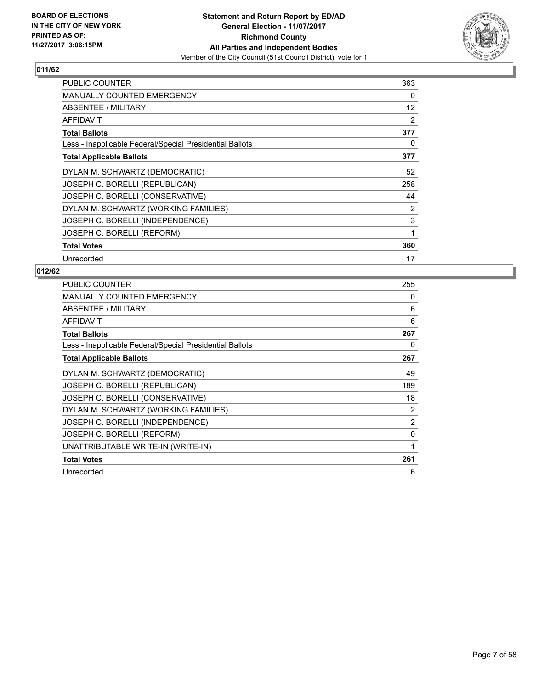

| <b>PUBLIC COUNTER</b>                                    | 363 |
|----------------------------------------------------------|-----|
| MANUALLY COUNTED EMERGENCY                               | 0   |
| ABSENTEE / MILITARY                                      | 12  |
| AFFIDAVIT                                                | 2   |
| <b>Total Ballots</b>                                     | 377 |
| Less - Inapplicable Federal/Special Presidential Ballots | 0   |
| <b>Total Applicable Ballots</b>                          | 377 |
| DYLAN M. SCHWARTZ (DEMOCRATIC)                           | 52  |
| JOSEPH C. BORELLI (REPUBLICAN)                           | 258 |
| JOSEPH C. BORELLI (CONSERVATIVE)                         | 44  |
| DYLAN M. SCHWARTZ (WORKING FAMILIES)                     | 2   |
| JOSEPH C. BORELLI (INDEPENDENCE)                         | 3   |
| JOSEPH C. BORELLI (REFORM)                               | 1   |
| <b>Total Votes</b>                                       | 360 |
| Unrecorded                                               | 17  |

| PUBLIC COUNTER                                           | 255            |
|----------------------------------------------------------|----------------|
| <b>MANUALLY COUNTED EMERGENCY</b>                        | 0              |
| ABSENTEE / MILITARY                                      | 6              |
| AFFIDAVIT                                                | 6              |
| <b>Total Ballots</b>                                     | 267            |
| Less - Inapplicable Federal/Special Presidential Ballots | 0              |
| <b>Total Applicable Ballots</b>                          | 267            |
| DYLAN M. SCHWARTZ (DEMOCRATIC)                           | 49             |
| JOSEPH C. BORELLI (REPUBLICAN)                           | 189            |
| JOSEPH C. BORELLI (CONSERVATIVE)                         | 18             |
| DYLAN M. SCHWARTZ (WORKING FAMILIES)                     | $\overline{2}$ |
| JOSEPH C. BORELLI (INDEPENDENCE)                         | 2              |
| JOSEPH C. BORELLI (REFORM)                               | 0              |
| UNATTRIBUTABLE WRITE-IN (WRITE-IN)                       | 1              |
| <b>Total Votes</b>                                       | 261            |
| Unrecorded                                               | 6              |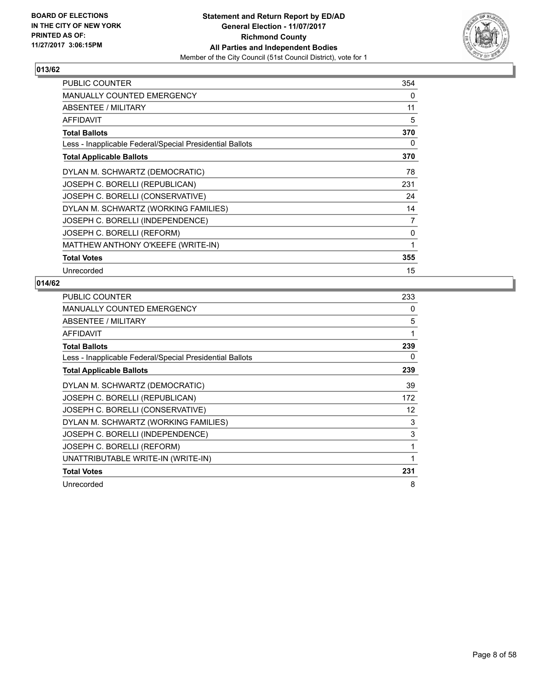

| PUBLIC COUNTER                                           | 354 |
|----------------------------------------------------------|-----|
| <b>MANUALLY COUNTED EMERGENCY</b>                        | 0   |
| ABSENTEE / MILITARY                                      | 11  |
| <b>AFFIDAVIT</b>                                         | 5   |
| <b>Total Ballots</b>                                     | 370 |
| Less - Inapplicable Federal/Special Presidential Ballots | 0   |
| <b>Total Applicable Ballots</b>                          | 370 |
| DYLAN M. SCHWARTZ (DEMOCRATIC)                           | 78  |
| JOSEPH C. BORELLI (REPUBLICAN)                           | 231 |
| JOSEPH C. BORELLI (CONSERVATIVE)                         | 24  |
| DYLAN M. SCHWARTZ (WORKING FAMILIES)                     | 14  |
| JOSEPH C. BORELLI (INDEPENDENCE)                         | 7   |
| JOSEPH C. BORELLI (REFORM)                               | 0   |
| MATTHEW ANTHONY O'KEEFE (WRITE-IN)                       | 1   |
| <b>Total Votes</b>                                       | 355 |
| Unrecorded                                               | 15  |

| <b>PUBLIC COUNTER</b>                                    | 233 |
|----------------------------------------------------------|-----|
| <b>MANUALLY COUNTED EMERGENCY</b>                        | 0   |
| ABSENTEE / MILITARY                                      | 5   |
| <b>AFFIDAVIT</b>                                         | 1   |
| <b>Total Ballots</b>                                     | 239 |
| Less - Inapplicable Federal/Special Presidential Ballots | 0   |
| <b>Total Applicable Ballots</b>                          | 239 |
| DYLAN M. SCHWARTZ (DEMOCRATIC)                           | 39  |
| JOSEPH C. BORELLI (REPUBLICAN)                           | 172 |
| JOSEPH C. BORELLI (CONSERVATIVE)                         | 12  |
| DYLAN M. SCHWARTZ (WORKING FAMILIES)                     | 3   |
| JOSEPH C. BORELLI (INDEPENDENCE)                         | 3   |
| JOSEPH C. BORELLI (REFORM)                               | 1   |
| UNATTRIBUTABLE WRITE-IN (WRITE-IN)                       | 1   |
| <b>Total Votes</b>                                       | 231 |
| Unrecorded                                               | 8   |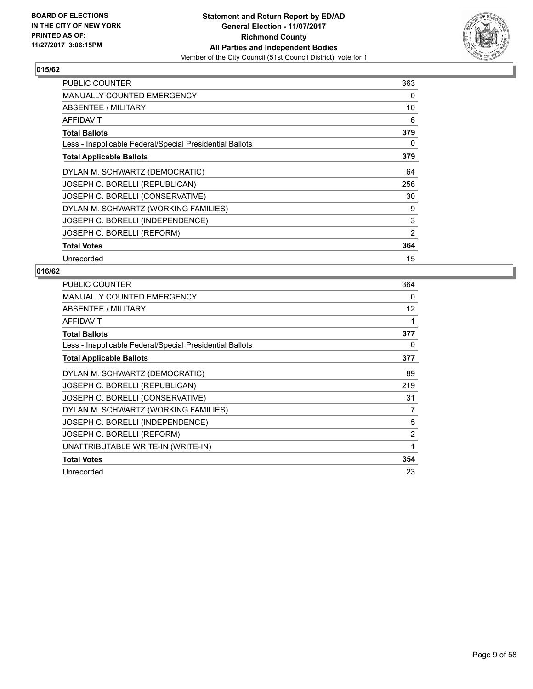

| <b>PUBLIC COUNTER</b>                                    | 363 |
|----------------------------------------------------------|-----|
| <b>MANUALLY COUNTED EMERGENCY</b>                        | 0   |
| ABSENTEE / MILITARY                                      | 10  |
| <b>AFFIDAVIT</b>                                         | 6   |
| <b>Total Ballots</b>                                     | 379 |
| Less - Inapplicable Federal/Special Presidential Ballots | 0   |
| <b>Total Applicable Ballots</b>                          | 379 |
| DYLAN M. SCHWARTZ (DEMOCRATIC)                           | 64  |
| JOSEPH C. BORELLI (REPUBLICAN)                           | 256 |
| JOSEPH C. BORELLI (CONSERVATIVE)                         | 30  |
| DYLAN M. SCHWARTZ (WORKING FAMILIES)                     | 9   |
| JOSEPH C. BORELLI (INDEPENDENCE)                         | 3   |
| JOSEPH C. BORELLI (REFORM)                               | 2   |
| <b>Total Votes</b>                                       | 364 |
| Unrecorded                                               | 15  |

| PUBLIC COUNTER                                           | 364               |
|----------------------------------------------------------|-------------------|
| <b>MANUALLY COUNTED EMERGENCY</b>                        | 0                 |
| ABSENTEE / MILITARY                                      | $12 \overline{ }$ |
| <b>AFFIDAVIT</b>                                         | 1                 |
| <b>Total Ballots</b>                                     | 377               |
| Less - Inapplicable Federal/Special Presidential Ballots | 0                 |
| <b>Total Applicable Ballots</b>                          | 377               |
| DYLAN M. SCHWARTZ (DEMOCRATIC)                           | 89                |
| JOSEPH C. BORELLI (REPUBLICAN)                           | 219               |
| JOSEPH C. BORELLI (CONSERVATIVE)                         | 31                |
| DYLAN M. SCHWARTZ (WORKING FAMILIES)                     | 7                 |
| JOSEPH C. BORELLI (INDEPENDENCE)                         | 5                 |
| JOSEPH C. BORELLI (REFORM)                               | 2                 |
| UNATTRIBUTABLE WRITE-IN (WRITE-IN)                       | 1                 |
| <b>Total Votes</b>                                       | 354               |
| Unrecorded                                               | 23                |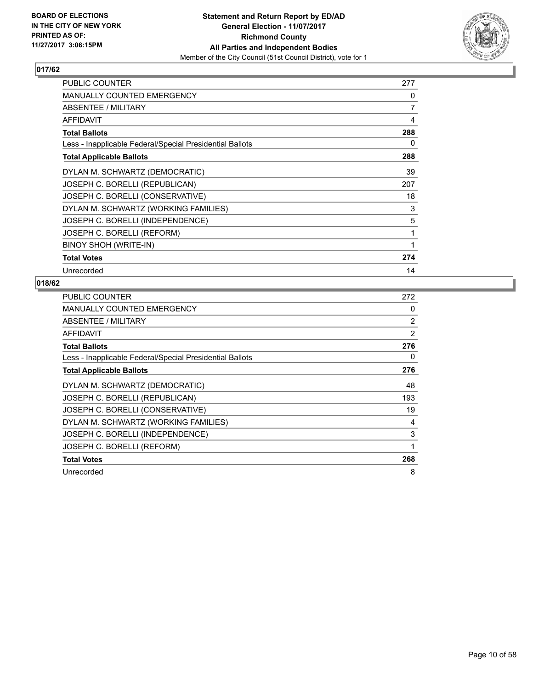

| <b>PUBLIC COUNTER</b>                                    | 277 |
|----------------------------------------------------------|-----|
| <b>MANUALLY COUNTED EMERGENCY</b>                        | 0   |
| ABSENTEE / MILITARY                                      | 7   |
| AFFIDAVIT                                                | 4   |
| <b>Total Ballots</b>                                     | 288 |
| Less - Inapplicable Federal/Special Presidential Ballots | 0   |
| <b>Total Applicable Ballots</b>                          | 288 |
| DYLAN M. SCHWARTZ (DEMOCRATIC)                           | 39  |
| JOSEPH C. BORELLI (REPUBLICAN)                           | 207 |
| JOSEPH C. BORELLI (CONSERVATIVE)                         | 18  |
| DYLAN M. SCHWARTZ (WORKING FAMILIES)                     | 3   |
| JOSEPH C. BORELLI (INDEPENDENCE)                         | 5   |
| JOSEPH C. BORELLI (REFORM)                               | 1   |
| BINOY SHOH (WRITE-IN)                                    | 1   |
| <b>Total Votes</b>                                       | 274 |
| Unrecorded                                               | 14  |

| <b>PUBLIC COUNTER</b>                                    | 272 |
|----------------------------------------------------------|-----|
| <b>MANUALLY COUNTED EMERGENCY</b>                        | 0   |
| <b>ABSENTEE / MILITARY</b>                               | 2   |
| AFFIDAVIT                                                | 2   |
| <b>Total Ballots</b>                                     | 276 |
| Less - Inapplicable Federal/Special Presidential Ballots | 0   |
| <b>Total Applicable Ballots</b>                          | 276 |
| DYLAN M. SCHWARTZ (DEMOCRATIC)                           | 48  |
| JOSEPH C. BORELLI (REPUBLICAN)                           | 193 |
| JOSEPH C. BORELLI (CONSERVATIVE)                         | 19  |
| DYLAN M. SCHWARTZ (WORKING FAMILIES)                     | 4   |
| JOSEPH C. BORELLI (INDEPENDENCE)                         | 3   |
| JOSEPH C. BORELLI (REFORM)                               | 1   |
| <b>Total Votes</b>                                       | 268 |
| Unrecorded                                               | 8   |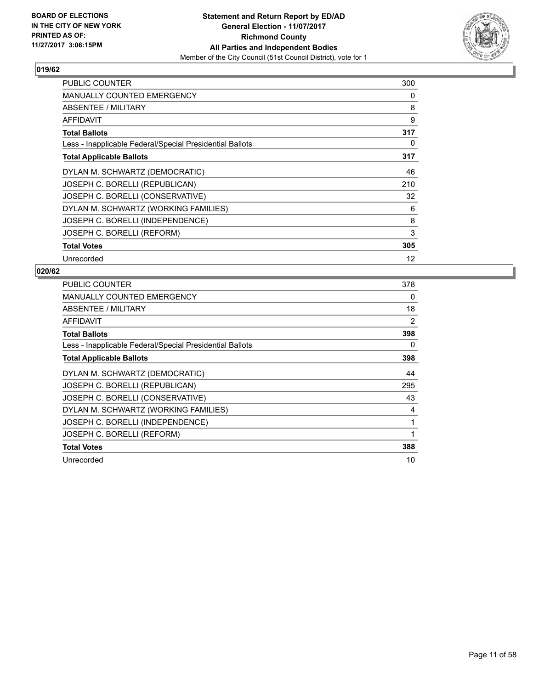

| <b>PUBLIC COUNTER</b>                                    | 300 |
|----------------------------------------------------------|-----|
| <b>MANUALLY COUNTED EMERGENCY</b>                        | 0   |
| ABSENTEE / MILITARY                                      | 8   |
| <b>AFFIDAVIT</b>                                         | 9   |
| <b>Total Ballots</b>                                     | 317 |
| Less - Inapplicable Federal/Special Presidential Ballots | 0   |
| <b>Total Applicable Ballots</b>                          | 317 |
| DYLAN M. SCHWARTZ (DEMOCRATIC)                           | 46  |
| JOSEPH C. BORELLI (REPUBLICAN)                           | 210 |
| JOSEPH C. BORELLI (CONSERVATIVE)                         | 32  |
| DYLAN M. SCHWARTZ (WORKING FAMILIES)                     | 6   |
| JOSEPH C. BORELLI (INDEPENDENCE)                         | 8   |
| JOSEPH C. BORELLI (REFORM)                               | 3   |
| <b>Total Votes</b>                                       | 305 |
| Unrecorded                                               | 12  |

| <b>PUBLIC COUNTER</b>                                    | 378 |
|----------------------------------------------------------|-----|
| <b>MANUALLY COUNTED EMERGENCY</b>                        | 0   |
| ABSENTEE / MILITARY                                      | 18  |
| <b>AFFIDAVIT</b>                                         | 2   |
| <b>Total Ballots</b>                                     | 398 |
| Less - Inapplicable Federal/Special Presidential Ballots | 0   |
| <b>Total Applicable Ballots</b>                          | 398 |
| DYLAN M. SCHWARTZ (DEMOCRATIC)                           | 44  |
| JOSEPH C. BORELLI (REPUBLICAN)                           | 295 |
| JOSEPH C. BORELLI (CONSERVATIVE)                         | 43  |
| DYLAN M. SCHWARTZ (WORKING FAMILIES)                     | 4   |
| JOSEPH C. BORELLI (INDEPENDENCE)                         | 1   |
| JOSEPH C. BORELLI (REFORM)                               | 1   |
| <b>Total Votes</b>                                       | 388 |
| Unrecorded                                               | 10  |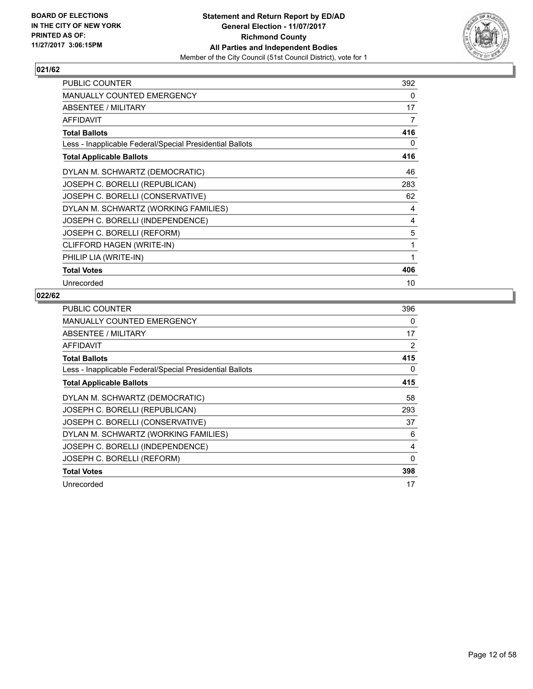

| <b>PUBLIC COUNTER</b>                                    | 392 |
|----------------------------------------------------------|-----|
| <b>MANUALLY COUNTED EMERGENCY</b>                        | 0   |
| ABSENTEE / MILITARY                                      | 17  |
| <b>AFFIDAVIT</b>                                         | 7   |
| <b>Total Ballots</b>                                     | 416 |
| Less - Inapplicable Federal/Special Presidential Ballots | 0   |
| <b>Total Applicable Ballots</b>                          | 416 |
| DYLAN M. SCHWARTZ (DEMOCRATIC)                           | 46  |
| JOSEPH C. BORELLI (REPUBLICAN)                           | 283 |
| JOSEPH C. BORELLI (CONSERVATIVE)                         | 62  |
| DYLAN M. SCHWARTZ (WORKING FAMILIES)                     | 4   |
| JOSEPH C. BORELLI (INDEPENDENCE)                         | 4   |
| JOSEPH C. BORELLI (REFORM)                               | 5   |
| CLIFFORD HAGEN (WRITE-IN)                                | 1   |
| PHILIP LIA (WRITE-IN)                                    | 1   |
| <b>Total Votes</b>                                       | 406 |
| Unrecorded                                               | 10  |

| <b>PUBLIC COUNTER</b>                                    | 396      |
|----------------------------------------------------------|----------|
| <b>MANUALLY COUNTED EMERGENCY</b>                        | 0        |
| ABSENTEE / MILITARY                                      | 17       |
| AFFIDAVIT                                                | 2        |
| <b>Total Ballots</b>                                     | 415      |
| Less - Inapplicable Federal/Special Presidential Ballots | 0        |
| <b>Total Applicable Ballots</b>                          | 415      |
| DYLAN M. SCHWARTZ (DEMOCRATIC)                           | 58       |
| JOSEPH C. BORELLI (REPUBLICAN)                           | 293      |
| JOSEPH C. BORELLI (CONSERVATIVE)                         | 37       |
| DYLAN M. SCHWARTZ (WORKING FAMILIES)                     | 6        |
| JOSEPH C. BORELLI (INDEPENDENCE)                         | 4        |
| JOSEPH C. BORELLI (REFORM)                               | $\Omega$ |
| <b>Total Votes</b>                                       | 398      |
| Unrecorded                                               | 17       |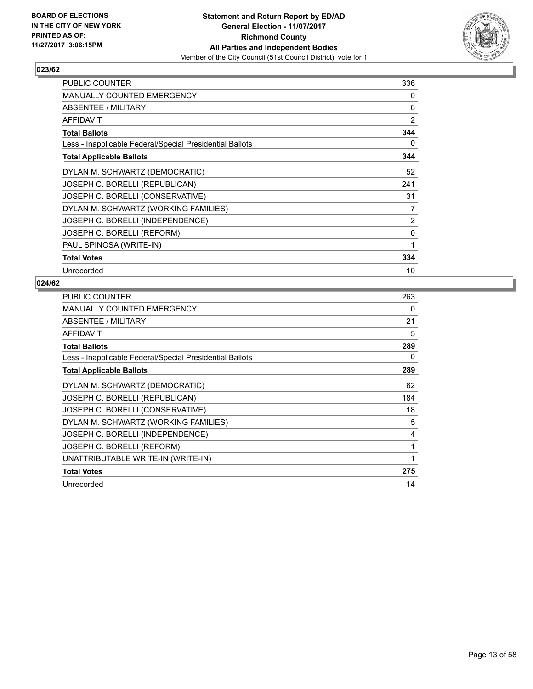

| <b>PUBLIC COUNTER</b>                                    | 336 |
|----------------------------------------------------------|-----|
| <b>MANUALLY COUNTED EMERGENCY</b>                        | 0   |
| ABSENTEE / MILITARY                                      | 6   |
| AFFIDAVIT                                                | 2   |
| <b>Total Ballots</b>                                     | 344 |
| Less - Inapplicable Federal/Special Presidential Ballots | 0   |
| <b>Total Applicable Ballots</b>                          | 344 |
| DYLAN M. SCHWARTZ (DEMOCRATIC)                           | 52  |
| JOSEPH C. BORELLI (REPUBLICAN)                           | 241 |
| JOSEPH C. BORELLI (CONSERVATIVE)                         | 31  |
| DYLAN M. SCHWARTZ (WORKING FAMILIES)                     | 7   |
| JOSEPH C. BORELLI (INDEPENDENCE)                         | 2   |
| JOSEPH C. BORELLI (REFORM)                               | 0   |
| PAUL SPINOSA (WRITE-IN)                                  | 1   |
| <b>Total Votes</b>                                       | 334 |
| Unrecorded                                               | 10  |

| <b>PUBLIC COUNTER</b>                                    | 263 |
|----------------------------------------------------------|-----|
| MANUALLY COUNTED EMERGENCY                               | 0   |
| ABSENTEE / MILITARY                                      | 21  |
| AFFIDAVIT                                                | 5   |
| <b>Total Ballots</b>                                     | 289 |
| Less - Inapplicable Federal/Special Presidential Ballots | 0   |
| <b>Total Applicable Ballots</b>                          | 289 |
| DYLAN M. SCHWARTZ (DEMOCRATIC)                           | 62  |
| JOSEPH C. BORELLI (REPUBLICAN)                           | 184 |
| JOSEPH C. BORELLI (CONSERVATIVE)                         | 18  |
| DYLAN M. SCHWARTZ (WORKING FAMILIES)                     | 5   |
| JOSEPH C. BORELLI (INDEPENDENCE)                         | 4   |
| JOSEPH C. BORELLI (REFORM)                               | 1   |
| UNATTRIBUTABLE WRITE-IN (WRITE-IN)                       | 1   |
| <b>Total Votes</b>                                       | 275 |
| Unrecorded                                               | 14  |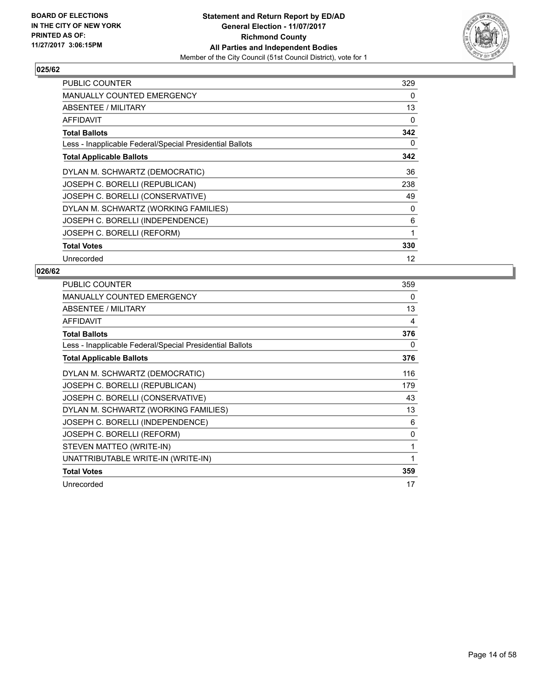

| <b>PUBLIC COUNTER</b>                                    | 329 |
|----------------------------------------------------------|-----|
| <b>MANUALLY COUNTED EMERGENCY</b>                        | 0   |
| ABSENTEE / MILITARY                                      | 13  |
| AFFIDAVIT                                                | 0   |
| <b>Total Ballots</b>                                     | 342 |
| Less - Inapplicable Federal/Special Presidential Ballots | 0   |
| <b>Total Applicable Ballots</b>                          | 342 |
| DYLAN M. SCHWARTZ (DEMOCRATIC)                           | 36  |
| JOSEPH C. BORELLI (REPUBLICAN)                           | 238 |
| JOSEPH C. BORELLI (CONSERVATIVE)                         | 49  |
| DYLAN M. SCHWARTZ (WORKING FAMILIES)                     | 0   |
| JOSEPH C. BORELLI (INDEPENDENCE)                         | 6   |
| JOSEPH C. BORELLI (REFORM)                               | 1   |
| <b>Total Votes</b>                                       | 330 |
| Unrecorded                                               | 12  |

| PUBLIC COUNTER                                           | 359 |
|----------------------------------------------------------|-----|
| <b>MANUALLY COUNTED EMERGENCY</b>                        | 0   |
| ABSENTEE / MILITARY                                      | 13  |
| <b>AFFIDAVIT</b>                                         | 4   |
| <b>Total Ballots</b>                                     | 376 |
| Less - Inapplicable Federal/Special Presidential Ballots | 0   |
| <b>Total Applicable Ballots</b>                          | 376 |
| DYLAN M. SCHWARTZ (DEMOCRATIC)                           | 116 |
| JOSEPH C. BORELLI (REPUBLICAN)                           | 179 |
| JOSEPH C. BORELLI (CONSERVATIVE)                         | 43  |
| DYLAN M. SCHWARTZ (WORKING FAMILIES)                     | 13  |
| JOSEPH C. BORELLI (INDEPENDENCE)                         | 6   |
| JOSEPH C. BORELLI (REFORM)                               | 0   |
| STEVEN MATTEO (WRITE-IN)                                 | 1   |
| UNATTRIBUTABLE WRITE-IN (WRITE-IN)                       | 1   |
| <b>Total Votes</b>                                       | 359 |
| Unrecorded                                               | 17  |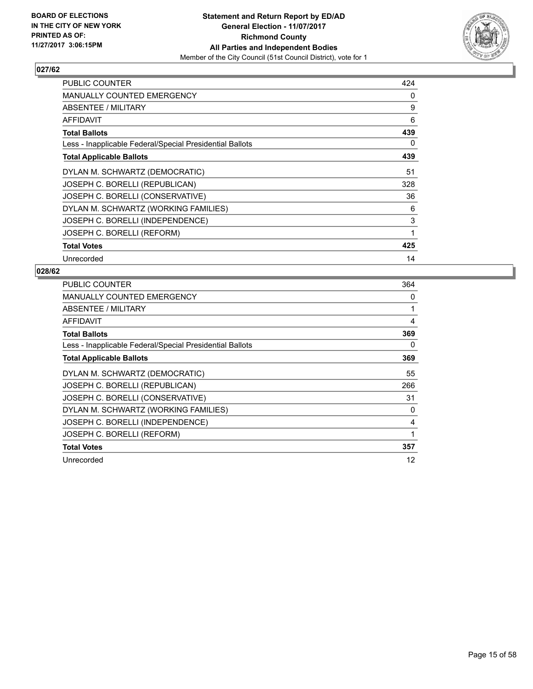

| <b>PUBLIC COUNTER</b>                                    | 424 |
|----------------------------------------------------------|-----|
| <b>MANUALLY COUNTED EMERGENCY</b>                        | 0   |
| ABSENTEE / MILITARY                                      | 9   |
| AFFIDAVIT                                                | 6   |
| <b>Total Ballots</b>                                     | 439 |
| Less - Inapplicable Federal/Special Presidential Ballots | 0   |
| <b>Total Applicable Ballots</b>                          | 439 |
| DYLAN M. SCHWARTZ (DEMOCRATIC)                           | 51  |
| JOSEPH C. BORELLI (REPUBLICAN)                           | 328 |
| JOSEPH C. BORELLI (CONSERVATIVE)                         | 36  |
| DYLAN M. SCHWARTZ (WORKING FAMILIES)                     | 6   |
| JOSEPH C. BORELLI (INDEPENDENCE)                         | 3   |
| JOSEPH C. BORELLI (REFORM)                               | 1   |
| <b>Total Votes</b>                                       | 425 |
| Unrecorded                                               | 14  |

| <b>PUBLIC COUNTER</b>                                    | 364 |
|----------------------------------------------------------|-----|
| MANUALLY COUNTED EMERGENCY                               | 0   |
| <b>ABSENTEE / MILITARY</b>                               | 1   |
| AFFIDAVIT                                                | 4   |
| <b>Total Ballots</b>                                     | 369 |
| Less - Inapplicable Federal/Special Presidential Ballots | 0   |
| <b>Total Applicable Ballots</b>                          | 369 |
| DYLAN M. SCHWARTZ (DEMOCRATIC)                           | 55  |
| JOSEPH C. BORELLI (REPUBLICAN)                           | 266 |
| JOSEPH C. BORELLI (CONSERVATIVE)                         | 31  |
| DYLAN M. SCHWARTZ (WORKING FAMILIES)                     | 0   |
| JOSEPH C. BORELLI (INDEPENDENCE)                         | 4   |
| JOSEPH C. BORELLI (REFORM)                               | 1   |
| <b>Total Votes</b>                                       | 357 |
| Unrecorded                                               | 12  |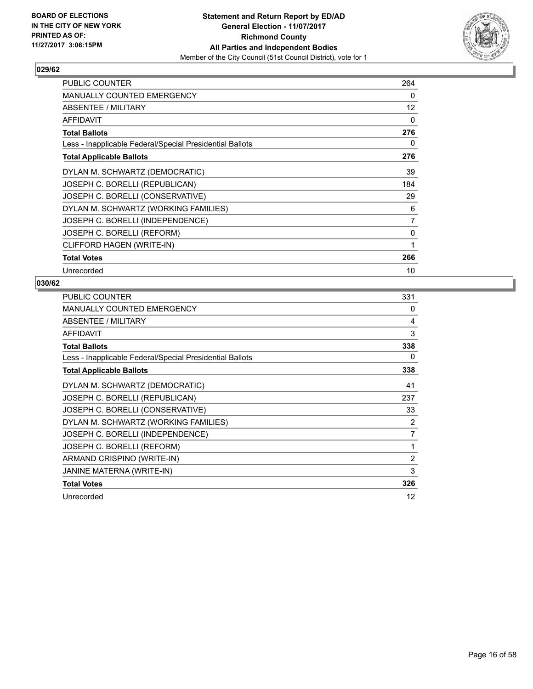

| PUBLIC COUNTER                                           | 264               |
|----------------------------------------------------------|-------------------|
| <b>MANUALLY COUNTED EMERGENCY</b>                        | 0                 |
| ABSENTEE / MILITARY                                      | $12 \overline{ }$ |
| AFFIDAVIT                                                | 0                 |
| <b>Total Ballots</b>                                     | 276               |
| Less - Inapplicable Federal/Special Presidential Ballots | 0                 |
| <b>Total Applicable Ballots</b>                          | 276               |
| DYLAN M. SCHWARTZ (DEMOCRATIC)                           | 39                |
| JOSEPH C. BORELLI (REPUBLICAN)                           | 184               |
| JOSEPH C. BORELLI (CONSERVATIVE)                         | 29                |
| DYLAN M. SCHWARTZ (WORKING FAMILIES)                     | 6                 |
| JOSEPH C. BORELLI (INDEPENDENCE)                         | $\overline{7}$    |
| JOSEPH C. BORELLI (REFORM)                               | 0                 |
| CLIFFORD HAGEN (WRITE-IN)                                | 1                 |
| <b>Total Votes</b>                                       | 266               |
| Unrecorded                                               | 10                |

| <b>PUBLIC COUNTER</b>                                    | 331            |
|----------------------------------------------------------|----------------|
| <b>MANUALLY COUNTED EMERGENCY</b>                        | $\Omega$       |
| ABSENTEE / MILITARY                                      | 4              |
| <b>AFFIDAVIT</b>                                         | 3              |
| <b>Total Ballots</b>                                     | 338            |
| Less - Inapplicable Federal/Special Presidential Ballots | 0              |
| <b>Total Applicable Ballots</b>                          | 338            |
| DYLAN M. SCHWARTZ (DEMOCRATIC)                           | 41             |
| JOSEPH C. BORELLI (REPUBLICAN)                           | 237            |
| JOSEPH C. BORELLI (CONSERVATIVE)                         | 33             |
| DYLAN M. SCHWARTZ (WORKING FAMILIES)                     | 2              |
| JOSEPH C. BORELLI (INDEPENDENCE)                         | $\overline{7}$ |
| JOSEPH C. BORELLI (REFORM)                               | 1              |
| ARMAND CRISPINO (WRITE-IN)                               | $\overline{2}$ |
| JANINE MATERNA (WRITE-IN)                                | 3              |
| <b>Total Votes</b>                                       | 326            |
| Unrecorded                                               | 12             |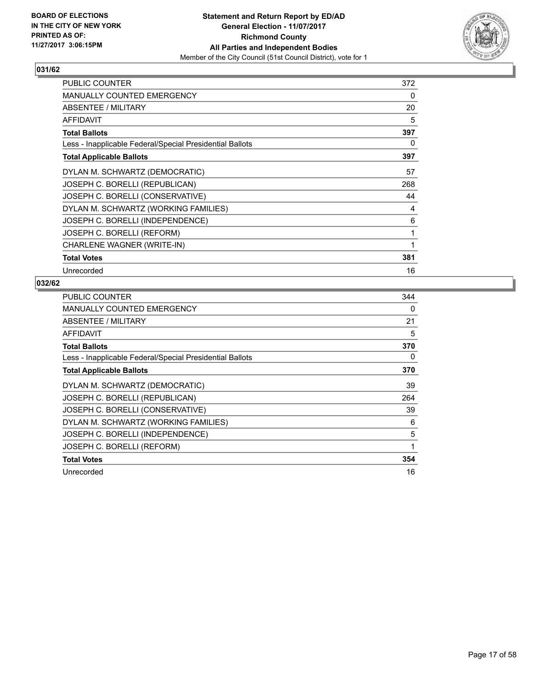

| <b>PUBLIC COUNTER</b>                                    | 372 |
|----------------------------------------------------------|-----|
| <b>MANUALLY COUNTED EMERGENCY</b>                        | 0   |
| ABSENTEE / MILITARY                                      | 20  |
| <b>AFFIDAVIT</b>                                         | 5   |
| <b>Total Ballots</b>                                     | 397 |
| Less - Inapplicable Federal/Special Presidential Ballots | 0   |
| <b>Total Applicable Ballots</b>                          | 397 |
| DYLAN M. SCHWARTZ (DEMOCRATIC)                           | 57  |
| JOSEPH C. BORELLI (REPUBLICAN)                           | 268 |
| JOSEPH C. BORELLI (CONSERVATIVE)                         | 44  |
| DYLAN M. SCHWARTZ (WORKING FAMILIES)                     | 4   |
| JOSEPH C. BORELLI (INDEPENDENCE)                         | 6   |
| JOSEPH C. BORELLI (REFORM)                               | 1   |
| CHARLENE WAGNER (WRITE-IN)                               | 1   |
| <b>Total Votes</b>                                       | 381 |
| Unrecorded                                               | 16  |

| PUBLIC COUNTER                                           | 344 |
|----------------------------------------------------------|-----|
| <b>MANUALLY COUNTED EMERGENCY</b>                        | 0   |
| ABSENTEE / MILITARY                                      | 21  |
| AFFIDAVIT                                                | 5   |
| <b>Total Ballots</b>                                     | 370 |
| Less - Inapplicable Federal/Special Presidential Ballots | 0   |
| <b>Total Applicable Ballots</b>                          | 370 |
| DYLAN M. SCHWARTZ (DEMOCRATIC)                           | 39  |
| JOSEPH C. BORELLI (REPUBLICAN)                           | 264 |
| JOSEPH C. BORELLI (CONSERVATIVE)                         | 39  |
| DYLAN M. SCHWARTZ (WORKING FAMILIES)                     | 6   |
| JOSEPH C. BORELLI (INDEPENDENCE)                         | 5   |
| JOSEPH C. BORELLI (REFORM)                               | 1   |
| <b>Total Votes</b>                                       | 354 |
| Unrecorded                                               | 16  |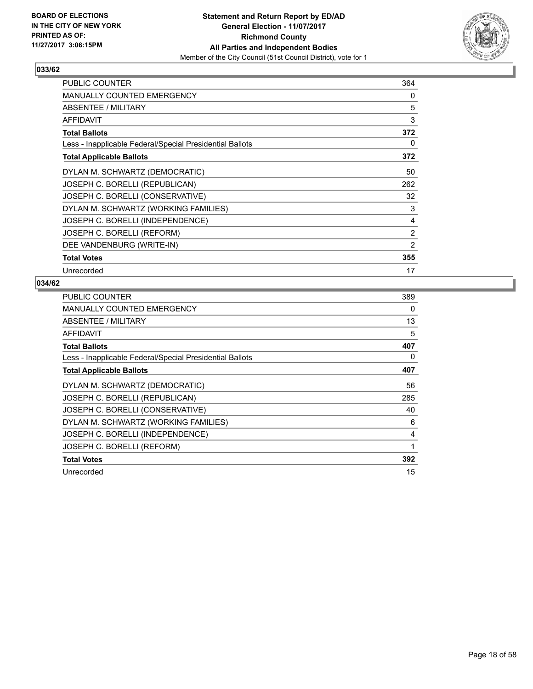

| <b>PUBLIC COUNTER</b>                                    | 364            |
|----------------------------------------------------------|----------------|
| <b>MANUALLY COUNTED EMERGENCY</b>                        | 0              |
| ABSENTEE / MILITARY                                      | 5              |
| AFFIDAVIT                                                | 3              |
| <b>Total Ballots</b>                                     | 372            |
| Less - Inapplicable Federal/Special Presidential Ballots | 0              |
| <b>Total Applicable Ballots</b>                          | 372            |
| DYLAN M. SCHWARTZ (DEMOCRATIC)                           | 50             |
| JOSEPH C. BORELLI (REPUBLICAN)                           | 262            |
| JOSEPH C. BORELLI (CONSERVATIVE)                         | 32             |
| DYLAN M. SCHWARTZ (WORKING FAMILIES)                     | 3              |
| JOSEPH C. BORELLI (INDEPENDENCE)                         | 4              |
| JOSEPH C. BORELLI (REFORM)                               | 2              |
| DEE VANDENBURG (WRITE-IN)                                | $\overline{2}$ |
| <b>Total Votes</b>                                       | 355            |
| Unrecorded                                               | 17             |

| PUBLIC COUNTER                                           | 389 |
|----------------------------------------------------------|-----|
| <b>MANUALLY COUNTED EMERGENCY</b>                        | 0   |
| ABSENTEE / MILITARY                                      | 13  |
| AFFIDAVIT                                                | 5   |
| <b>Total Ballots</b>                                     | 407 |
| Less - Inapplicable Federal/Special Presidential Ballots | 0   |
| <b>Total Applicable Ballots</b>                          | 407 |
| DYLAN M. SCHWARTZ (DEMOCRATIC)                           | 56  |
| JOSEPH C. BORELLI (REPUBLICAN)                           | 285 |
| JOSEPH C. BORELLI (CONSERVATIVE)                         | 40  |
| DYLAN M. SCHWARTZ (WORKING FAMILIES)                     | 6   |
| JOSEPH C. BORELLI (INDEPENDENCE)                         | 4   |
| JOSEPH C. BORELLI (REFORM)                               | 1   |
| <b>Total Votes</b>                                       | 392 |
| Unrecorded                                               | 15  |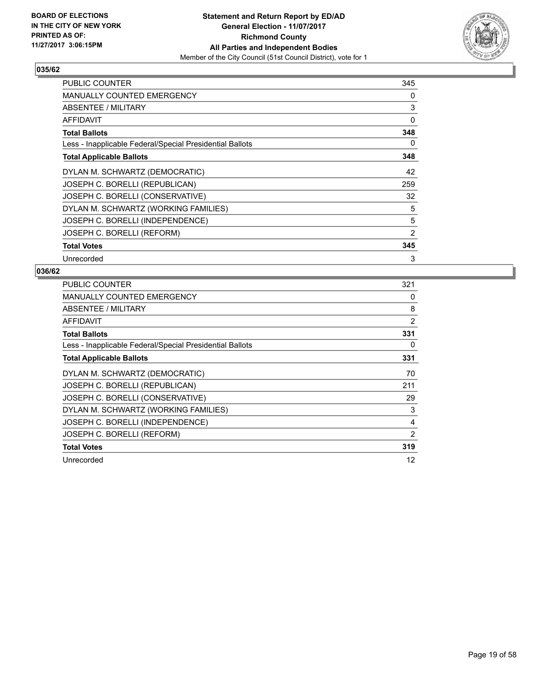

| <b>PUBLIC COUNTER</b>                                    | 345 |
|----------------------------------------------------------|-----|
| <b>MANUALLY COUNTED EMERGENCY</b>                        | 0   |
| ABSENTEE / MILITARY                                      | 3   |
| AFFIDAVIT                                                | 0   |
| <b>Total Ballots</b>                                     | 348 |
| Less - Inapplicable Federal/Special Presidential Ballots | 0   |
| <b>Total Applicable Ballots</b>                          | 348 |
| DYLAN M. SCHWARTZ (DEMOCRATIC)                           | 42  |
| JOSEPH C. BORELLI (REPUBLICAN)                           | 259 |
| JOSEPH C. BORELLI (CONSERVATIVE)                         | 32  |
| DYLAN M. SCHWARTZ (WORKING FAMILIES)                     | 5   |
| JOSEPH C. BORELLI (INDEPENDENCE)                         | 5   |
| JOSEPH C. BORELLI (REFORM)                               | 2   |
| <b>Total Votes</b>                                       | 345 |
| Unrecorded                                               | 3   |

| <b>PUBLIC COUNTER</b>                                    | 321 |
|----------------------------------------------------------|-----|
| MANUALLY COUNTED EMERGENCY                               | 0   |
| <b>ABSENTEE / MILITARY</b>                               | 8   |
| AFFIDAVIT                                                | 2   |
| <b>Total Ballots</b>                                     | 331 |
| Less - Inapplicable Federal/Special Presidential Ballots | 0   |
| <b>Total Applicable Ballots</b>                          | 331 |
| DYLAN M. SCHWARTZ (DEMOCRATIC)                           | 70  |
| JOSEPH C. BORELLI (REPUBLICAN)                           | 211 |
| JOSEPH C. BORELLI (CONSERVATIVE)                         | 29  |
| DYLAN M. SCHWARTZ (WORKING FAMILIES)                     | 3   |
| JOSEPH C. BORELLI (INDEPENDENCE)                         | 4   |
| JOSEPH C. BORELLI (REFORM)                               | 2   |
| <b>Total Votes</b>                                       | 319 |
| Unrecorded                                               | 12  |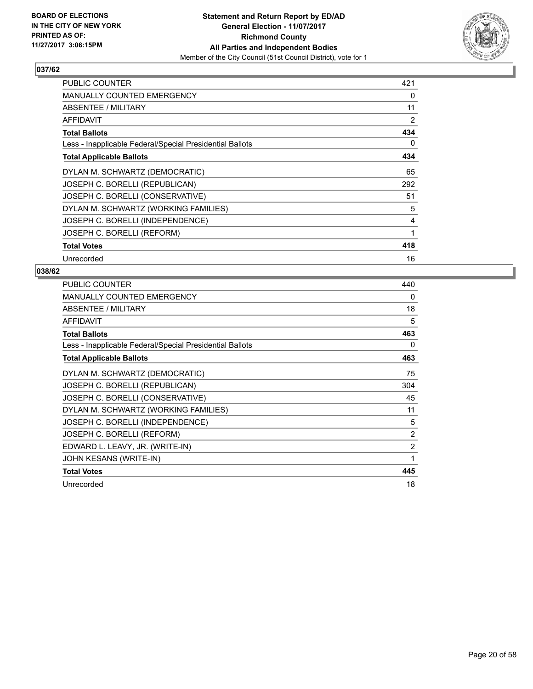

| PUBLIC COUNTER                                           | 421 |
|----------------------------------------------------------|-----|
| <b>MANUALLY COUNTED EMERGENCY</b>                        | 0   |
| ABSENTEE / MILITARY                                      | 11  |
| AFFIDAVIT                                                | 2   |
| <b>Total Ballots</b>                                     | 434 |
| Less - Inapplicable Federal/Special Presidential Ballots | 0   |
| <b>Total Applicable Ballots</b>                          | 434 |
| DYLAN M. SCHWARTZ (DEMOCRATIC)                           | 65  |
| JOSEPH C. BORELLI (REPUBLICAN)                           | 292 |
| JOSEPH C. BORELLI (CONSERVATIVE)                         | 51  |
| DYLAN M. SCHWARTZ (WORKING FAMILIES)                     | 5   |
| JOSEPH C. BORELLI (INDEPENDENCE)                         | 4   |
| JOSEPH C. BORELLI (REFORM)                               | 1   |
| <b>Total Votes</b>                                       | 418 |
| Unrecorded                                               | 16  |

| PUBLIC COUNTER                                           | 440            |
|----------------------------------------------------------|----------------|
| <b>MANUALLY COUNTED EMERGENCY</b>                        | 0              |
| ABSENTEE / MILITARY                                      | 18             |
| <b>AFFIDAVIT</b>                                         | 5              |
| <b>Total Ballots</b>                                     | 463            |
| Less - Inapplicable Federal/Special Presidential Ballots | 0              |
| <b>Total Applicable Ballots</b>                          | 463            |
| DYLAN M. SCHWARTZ (DEMOCRATIC)                           | 75             |
| JOSEPH C. BORELLI (REPUBLICAN)                           | 304            |
| JOSEPH C. BORELLI (CONSERVATIVE)                         | 45             |
| DYLAN M. SCHWARTZ (WORKING FAMILIES)                     | 11             |
| JOSEPH C. BORELLI (INDEPENDENCE)                         | 5              |
| JOSEPH C. BORELLI (REFORM)                               | $\overline{2}$ |
| EDWARD L. LEAVY, JR. (WRITE-IN)                          | $\overline{2}$ |
| JOHN KESANS (WRITE-IN)                                   | 1              |
| <b>Total Votes</b>                                       | 445            |
| Unrecorded                                               | 18             |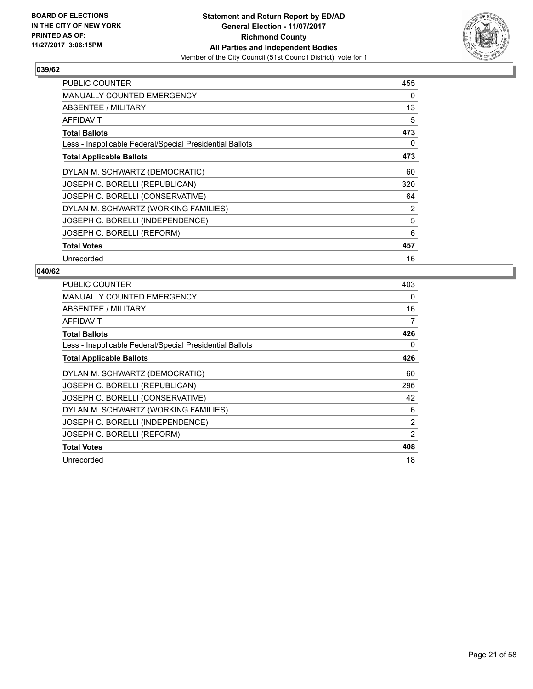

| <b>PUBLIC COUNTER</b>                                    | 455 |
|----------------------------------------------------------|-----|
| <b>MANUALLY COUNTED EMERGENCY</b>                        | 0   |
| <b>ABSENTEE / MILITARY</b>                               | 13  |
| AFFIDAVIT                                                | 5   |
| <b>Total Ballots</b>                                     | 473 |
| Less - Inapplicable Federal/Special Presidential Ballots | 0   |
| <b>Total Applicable Ballots</b>                          | 473 |
| DYLAN M. SCHWARTZ (DEMOCRATIC)                           | 60  |
| JOSEPH C. BORELLI (REPUBLICAN)                           | 320 |
| JOSEPH C. BORELLI (CONSERVATIVE)                         | 64  |
| DYLAN M. SCHWARTZ (WORKING FAMILIES)                     | 2   |
| JOSEPH C. BORELLI (INDEPENDENCE)                         | 5   |
| JOSEPH C. BORELLI (REFORM)                               | 6   |
| <b>Total Votes</b>                                       | 457 |
| Unrecorded                                               | 16  |

| <b>PUBLIC COUNTER</b>                                    | 403            |
|----------------------------------------------------------|----------------|
| <b>MANUALLY COUNTED EMERGENCY</b>                        | 0              |
| ABSENTEE / MILITARY                                      | 16             |
| AFFIDAVIT                                                | 7              |
| <b>Total Ballots</b>                                     | 426            |
| Less - Inapplicable Federal/Special Presidential Ballots | 0              |
| <b>Total Applicable Ballots</b>                          | 426            |
| DYLAN M. SCHWARTZ (DEMOCRATIC)                           | 60             |
| JOSEPH C. BORELLI (REPUBLICAN)                           | 296            |
| JOSEPH C. BORELLI (CONSERVATIVE)                         | 42             |
| DYLAN M. SCHWARTZ (WORKING FAMILIES)                     | 6              |
| JOSEPH C. BORELLI (INDEPENDENCE)                         | $\overline{2}$ |
| JOSEPH C. BORELLI (REFORM)                               | 2              |
| <b>Total Votes</b>                                       | 408            |
| Unrecorded                                               | 18             |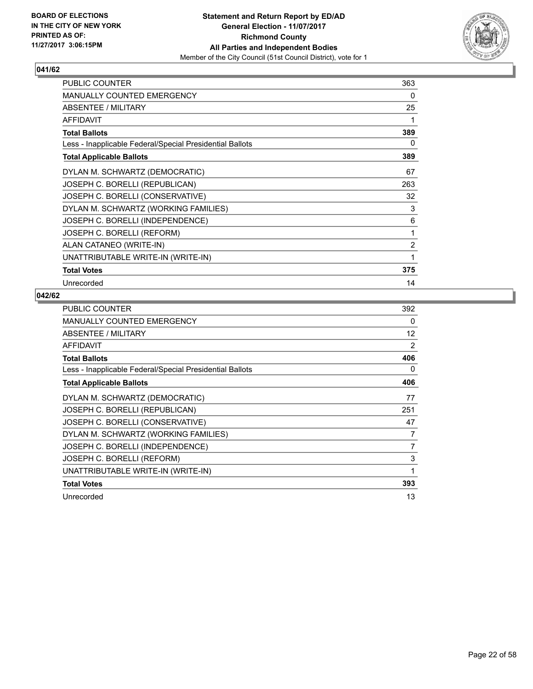

| <b>PUBLIC COUNTER</b>                                    | 363 |
|----------------------------------------------------------|-----|
| MANUALLY COUNTED EMERGENCY                               | 0   |
| <b>ABSENTEE / MILITARY</b>                               | 25  |
| <b>AFFIDAVIT</b>                                         | 1   |
| <b>Total Ballots</b>                                     | 389 |
| Less - Inapplicable Federal/Special Presidential Ballots | 0   |
| <b>Total Applicable Ballots</b>                          | 389 |
| DYLAN M. SCHWARTZ (DEMOCRATIC)                           | 67  |
| JOSEPH C. BORELLI (REPUBLICAN)                           | 263 |
| JOSEPH C. BORELLI (CONSERVATIVE)                         | 32  |
| DYLAN M. SCHWARTZ (WORKING FAMILIES)                     | 3   |
| JOSEPH C. BORELLI (INDEPENDENCE)                         | 6   |
| JOSEPH C. BORELLI (REFORM)                               | 1   |
| ALAN CATANEO (WRITE-IN)                                  | 2   |
| UNATTRIBUTABLE WRITE-IN (WRITE-IN)                       | 1   |
| <b>Total Votes</b>                                       | 375 |
| Unrecorded                                               | 14  |

| <b>PUBLIC COUNTER</b>                                    | 392 |
|----------------------------------------------------------|-----|
| <b>MANUALLY COUNTED EMERGENCY</b>                        | 0   |
| ABSENTEE / MILITARY                                      | 12  |
| <b>AFFIDAVIT</b>                                         | 2   |
| <b>Total Ballots</b>                                     | 406 |
| Less - Inapplicable Federal/Special Presidential Ballots | 0   |
| <b>Total Applicable Ballots</b>                          | 406 |
| DYLAN M. SCHWARTZ (DEMOCRATIC)                           | 77  |
| JOSEPH C. BORELLI (REPUBLICAN)                           | 251 |
| JOSEPH C. BORELLI (CONSERVATIVE)                         | 47  |
| DYLAN M. SCHWARTZ (WORKING FAMILIES)                     | 7   |
| JOSEPH C. BORELLI (INDEPENDENCE)                         | 7   |
| JOSEPH C. BORELLI (REFORM)                               | 3   |
| UNATTRIBUTABLE WRITE-IN (WRITE-IN)                       | 1   |
| <b>Total Votes</b>                                       | 393 |
| Unrecorded                                               | 13  |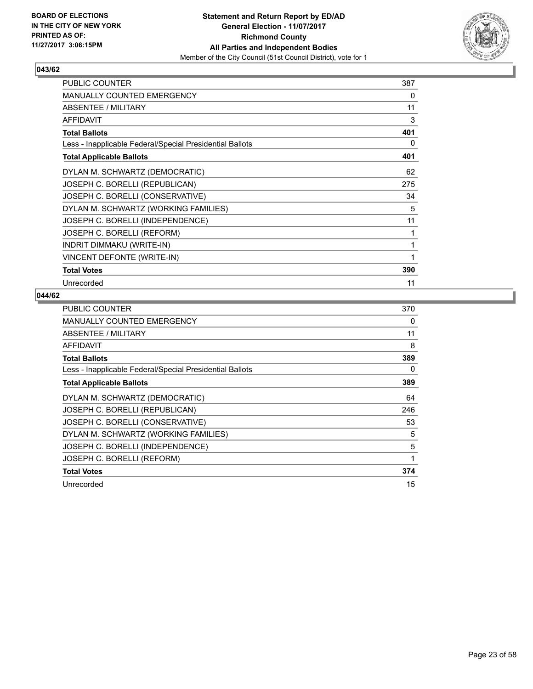

| PUBLIC COUNTER                                           | 387 |
|----------------------------------------------------------|-----|
| <b>MANUALLY COUNTED EMERGENCY</b>                        | 0   |
| ABSENTEE / MILITARY                                      | 11  |
| <b>AFFIDAVIT</b>                                         | 3   |
| <b>Total Ballots</b>                                     | 401 |
| Less - Inapplicable Federal/Special Presidential Ballots | 0   |
| <b>Total Applicable Ballots</b>                          | 401 |
| DYLAN M. SCHWARTZ (DEMOCRATIC)                           | 62  |
| JOSEPH C. BORELLI (REPUBLICAN)                           | 275 |
| JOSEPH C. BORELLI (CONSERVATIVE)                         | 34  |
| DYLAN M. SCHWARTZ (WORKING FAMILIES)                     | 5   |
| JOSEPH C. BORELLI (INDEPENDENCE)                         | 11  |
| JOSEPH C. BORELLI (REFORM)                               | 1   |
| INDRIT DIMMAKU (WRITE-IN)                                | 1   |
| VINCENT DEFONTE (WRITE-IN)                               | 1   |
| <b>Total Votes</b>                                       | 390 |
| Unrecorded                                               | 11  |

| <b>PUBLIC COUNTER</b>                                    | 370 |
|----------------------------------------------------------|-----|
| <b>MANUALLY COUNTED EMERGENCY</b>                        | 0   |
| ABSENTEE / MILITARY                                      | 11  |
| AFFIDAVIT                                                | 8   |
| <b>Total Ballots</b>                                     | 389 |
| Less - Inapplicable Federal/Special Presidential Ballots | 0   |
| <b>Total Applicable Ballots</b>                          | 389 |
| DYLAN M. SCHWARTZ (DEMOCRATIC)                           | 64  |
| JOSEPH C. BORELLI (REPUBLICAN)                           | 246 |
| JOSEPH C. BORELLI (CONSERVATIVE)                         | 53  |
| DYLAN M. SCHWARTZ (WORKING FAMILIES)                     | 5   |
| JOSEPH C. BORELLI (INDEPENDENCE)                         | 5   |
| JOSEPH C. BORELLI (REFORM)                               | 1   |
| <b>Total Votes</b>                                       | 374 |
| Unrecorded                                               | 15  |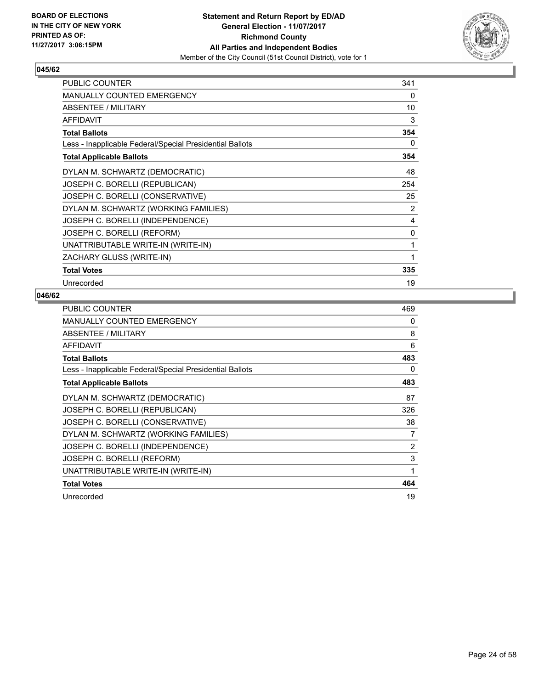

| <b>PUBLIC COUNTER</b>                                    | 341 |
|----------------------------------------------------------|-----|
| MANUALLY COUNTED EMERGENCY                               | 0   |
| ABSENTEE / MILITARY                                      | 10  |
| <b>AFFIDAVIT</b>                                         | 3   |
| <b>Total Ballots</b>                                     | 354 |
| Less - Inapplicable Federal/Special Presidential Ballots | 0   |
| <b>Total Applicable Ballots</b>                          | 354 |
| DYLAN M. SCHWARTZ (DEMOCRATIC)                           | 48  |
| JOSEPH C. BORELLI (REPUBLICAN)                           | 254 |
| JOSEPH C. BORELLI (CONSERVATIVE)                         | 25  |
| DYLAN M. SCHWARTZ (WORKING FAMILIES)                     | 2   |
| JOSEPH C. BORELLI (INDEPENDENCE)                         | 4   |
| JOSEPH C. BORELLI (REFORM)                               | 0   |
| UNATTRIBUTABLE WRITE-IN (WRITE-IN)                       | 1   |
| ZACHARY GLUSS (WRITE-IN)                                 | 1   |
| <b>Total Votes</b>                                       | 335 |
| Unrecorded                                               | 19  |

| <b>PUBLIC COUNTER</b>                                    | 469 |
|----------------------------------------------------------|-----|
| <b>MANUALLY COUNTED EMERGENCY</b>                        | 0   |
| ABSENTEE / MILITARY                                      | 8   |
| AFFIDAVIT                                                | 6   |
| <b>Total Ballots</b>                                     | 483 |
| Less - Inapplicable Federal/Special Presidential Ballots | 0   |
| <b>Total Applicable Ballots</b>                          | 483 |
| DYLAN M. SCHWARTZ (DEMOCRATIC)                           | 87  |
| JOSEPH C. BORELLI (REPUBLICAN)                           | 326 |
| JOSEPH C. BORELLI (CONSERVATIVE)                         | 38  |
| DYLAN M. SCHWARTZ (WORKING FAMILIES)                     | 7   |
| JOSEPH C. BORELLI (INDEPENDENCE)                         | 2   |
| JOSEPH C. BORELLI (REFORM)                               | 3   |
| UNATTRIBUTABLE WRITE-IN (WRITE-IN)                       | 1   |
| <b>Total Votes</b>                                       | 464 |
| Unrecorded                                               | 19  |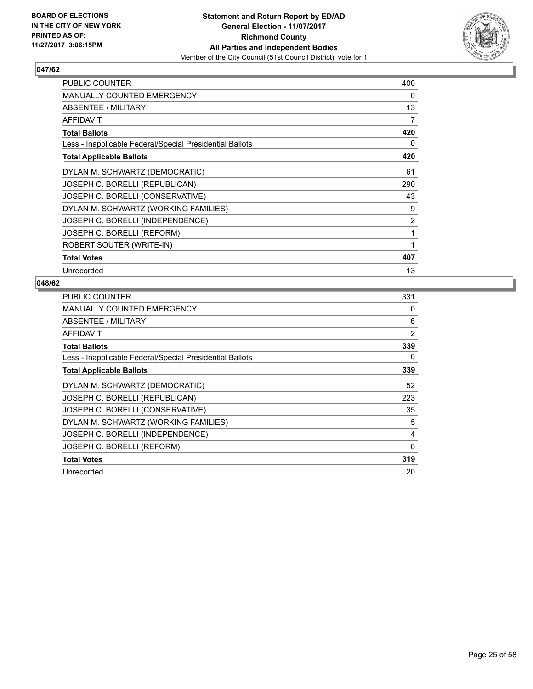

| PUBLIC COUNTER                                           | 400 |
|----------------------------------------------------------|-----|
| <b>MANUALLY COUNTED EMERGENCY</b>                        | 0   |
| ABSENTEE / MILITARY                                      | 13  |
| <b>AFFIDAVIT</b>                                         | 7   |
| <b>Total Ballots</b>                                     | 420 |
| Less - Inapplicable Federal/Special Presidential Ballots | 0   |
| <b>Total Applicable Ballots</b>                          | 420 |
| DYLAN M. SCHWARTZ (DEMOCRATIC)                           | 61  |
| JOSEPH C. BORELLI (REPUBLICAN)                           | 290 |
| JOSEPH C. BORELLI (CONSERVATIVE)                         | 43  |
| DYLAN M. SCHWARTZ (WORKING FAMILIES)                     | 9   |
| JOSEPH C. BORELLI (INDEPENDENCE)                         | 2   |
| JOSEPH C. BORELLI (REFORM)                               | 1   |
| ROBERT SOUTER (WRITE-IN)                                 | 1   |
| <b>Total Votes</b>                                       | 407 |
| Unrecorded                                               | 13  |

| <b>PUBLIC COUNTER</b>                                    | 331 |
|----------------------------------------------------------|-----|
| MANUALLY COUNTED EMERGENCY                               | 0   |
| ABSENTEE / MILITARY                                      | 6   |
| <b>AFFIDAVIT</b>                                         | 2   |
| <b>Total Ballots</b>                                     | 339 |
| Less - Inapplicable Federal/Special Presidential Ballots | 0   |
| <b>Total Applicable Ballots</b>                          | 339 |
| DYLAN M. SCHWARTZ (DEMOCRATIC)                           | 52  |
| JOSEPH C. BORELLI (REPUBLICAN)                           | 223 |
| JOSEPH C. BORELLI (CONSERVATIVE)                         | 35  |
| DYLAN M. SCHWARTZ (WORKING FAMILIES)                     | 5   |
| JOSEPH C. BORELLI (INDEPENDENCE)                         | 4   |
| JOSEPH C. BORELLI (REFORM)                               | 0   |
| <b>Total Votes</b>                                       | 319 |
| Unrecorded                                               | 20  |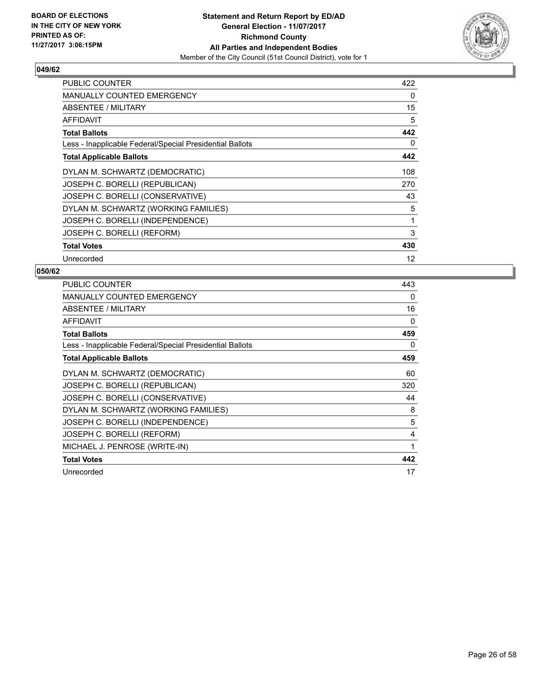

| <b>PUBLIC COUNTER</b>                                    | 422 |
|----------------------------------------------------------|-----|
| <b>MANUALLY COUNTED EMERGENCY</b>                        | 0   |
| <b>ABSENTEE / MILITARY</b>                               | 15  |
| AFFIDAVIT                                                | 5   |
| <b>Total Ballots</b>                                     | 442 |
| Less - Inapplicable Federal/Special Presidential Ballots | 0   |
| <b>Total Applicable Ballots</b>                          | 442 |
| DYLAN M. SCHWARTZ (DEMOCRATIC)                           | 108 |
| JOSEPH C. BORELLI (REPUBLICAN)                           | 270 |
| JOSEPH C. BORELLI (CONSERVATIVE)                         | 43  |
| DYLAN M. SCHWARTZ (WORKING FAMILIES)                     | 5   |
| JOSEPH C. BORELLI (INDEPENDENCE)                         | 1   |
| JOSEPH C. BORELLI (REFORM)                               | 3   |
| <b>Total Votes</b>                                       | 430 |
| Unrecorded                                               | 12  |

| PUBLIC COUNTER                                           | 443 |
|----------------------------------------------------------|-----|
| <b>MANUALLY COUNTED EMERGENCY</b>                        | 0   |
| ABSENTEE / MILITARY                                      | 16  |
| AFFIDAVIT                                                | 0   |
| <b>Total Ballots</b>                                     | 459 |
| Less - Inapplicable Federal/Special Presidential Ballots | 0   |
| <b>Total Applicable Ballots</b>                          | 459 |
| DYLAN M. SCHWARTZ (DEMOCRATIC)                           | 60  |
| JOSEPH C. BORELLI (REPUBLICAN)                           | 320 |
| JOSEPH C. BORELLI (CONSERVATIVE)                         | 44  |
| DYLAN M. SCHWARTZ (WORKING FAMILIES)                     | 8   |
| JOSEPH C. BORELLI (INDEPENDENCE)                         | 5   |
| JOSEPH C. BORELLI (REFORM)                               | 4   |
| MICHAEL J. PENROSE (WRITE-IN)                            | 1   |
| <b>Total Votes</b>                                       | 442 |
| Unrecorded                                               | 17  |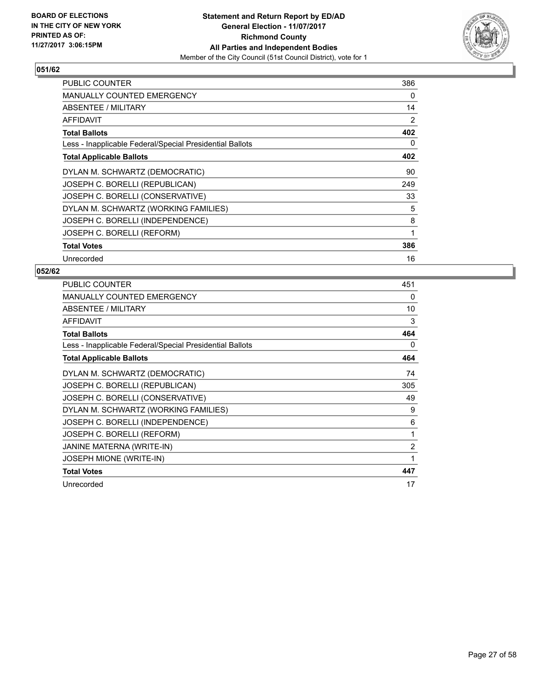

| <b>PUBLIC COUNTER</b>                                    | 386 |
|----------------------------------------------------------|-----|
| <b>MANUALLY COUNTED EMERGENCY</b>                        | 0   |
| ABSENTEE / MILITARY                                      | 14  |
| AFFIDAVIT                                                | 2   |
| <b>Total Ballots</b>                                     | 402 |
| Less - Inapplicable Federal/Special Presidential Ballots | 0   |
| <b>Total Applicable Ballots</b>                          | 402 |
| DYLAN M. SCHWARTZ (DEMOCRATIC)                           | 90  |
| JOSEPH C. BORELLI (REPUBLICAN)                           | 249 |
| JOSEPH C. BORELLI (CONSERVATIVE)                         | 33  |
| DYLAN M. SCHWARTZ (WORKING FAMILIES)                     | 5   |
| JOSEPH C. BORELLI (INDEPENDENCE)                         | 8   |
| JOSEPH C. BORELLI (REFORM)                               | 1   |
| <b>Total Votes</b>                                       | 386 |
| Unrecorded                                               | 16  |

| PUBLIC COUNTER                                           | 451 |
|----------------------------------------------------------|-----|
| <b>MANUALLY COUNTED EMERGENCY</b>                        | 0   |
| ABSENTEE / MILITARY                                      | 10  |
| <b>AFFIDAVIT</b>                                         | 3   |
| <b>Total Ballots</b>                                     | 464 |
| Less - Inapplicable Federal/Special Presidential Ballots | 0   |
| <b>Total Applicable Ballots</b>                          | 464 |
| DYLAN M. SCHWARTZ (DEMOCRATIC)                           | 74  |
| JOSEPH C. BORELLI (REPUBLICAN)                           | 305 |
| JOSEPH C. BORELLI (CONSERVATIVE)                         | 49  |
| DYLAN M. SCHWARTZ (WORKING FAMILIES)                     | 9   |
| JOSEPH C. BORELLI (INDEPENDENCE)                         | 6   |
| JOSEPH C. BORELLI (REFORM)                               | 1   |
| JANINE MATERNA (WRITE-IN)                                | 2   |
| <b>JOSEPH MIONE (WRITE-IN)</b>                           | 1   |
| <b>Total Votes</b>                                       | 447 |
| Unrecorded                                               | 17  |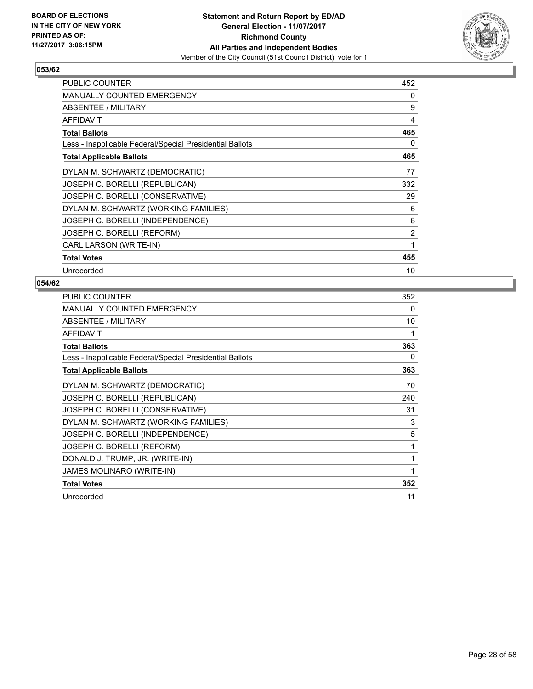

| PUBLIC COUNTER                                           | 452          |
|----------------------------------------------------------|--------------|
| <b>MANUALLY COUNTED EMERGENCY</b>                        | 0            |
| ABSENTEE / MILITARY                                      | 9            |
| AFFIDAVIT                                                | 4            |
| <b>Total Ballots</b>                                     | 465          |
| Less - Inapplicable Federal/Special Presidential Ballots | 0            |
| <b>Total Applicable Ballots</b>                          | 465          |
| DYLAN M. SCHWARTZ (DEMOCRATIC)                           | 77           |
| JOSEPH C. BORELLI (REPUBLICAN)                           | 332          |
| JOSEPH C. BORELLI (CONSERVATIVE)                         | 29           |
| DYLAN M. SCHWARTZ (WORKING FAMILIES)                     | 6            |
| JOSEPH C. BORELLI (INDEPENDENCE)                         | 8            |
| JOSEPH C. BORELLI (REFORM)                               | 2            |
| CARL LARSON (WRITE-IN)                                   | $\mathbf{1}$ |
| <b>Total Votes</b>                                       | 455          |
| Unrecorded                                               | 10           |

| <b>PUBLIC COUNTER</b>                                    | 352 |
|----------------------------------------------------------|-----|
| <b>MANUALLY COUNTED EMERGENCY</b>                        | 0   |
| ABSENTEE / MILITARY                                      | 10  |
| <b>AFFIDAVIT</b>                                         | 1   |
| <b>Total Ballots</b>                                     | 363 |
| Less - Inapplicable Federal/Special Presidential Ballots | 0   |
| <b>Total Applicable Ballots</b>                          | 363 |
| DYLAN M. SCHWARTZ (DEMOCRATIC)                           | 70  |
| JOSEPH C. BORELLI (REPUBLICAN)                           | 240 |
| JOSEPH C. BORELLI (CONSERVATIVE)                         | 31  |
| DYLAN M. SCHWARTZ (WORKING FAMILIES)                     | 3   |
| JOSEPH C. BORELLI (INDEPENDENCE)                         | 5   |
| JOSEPH C. BORELLI (REFORM)                               | 1   |
| DONALD J. TRUMP, JR. (WRITE-IN)                          | 1   |
| JAMES MOLINARO (WRITE-IN)                                | 1   |
| <b>Total Votes</b>                                       | 352 |
| Unrecorded                                               | 11  |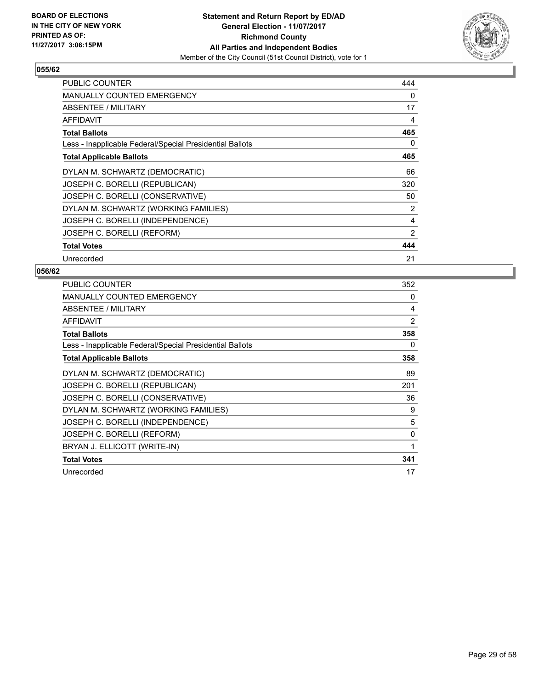

| PUBLIC COUNTER                                           | 444 |
|----------------------------------------------------------|-----|
| <b>MANUALLY COUNTED EMERGENCY</b>                        | 0   |
| <b>ABSENTEE / MILITARY</b>                               | 17  |
| AFFIDAVIT                                                | 4   |
| <b>Total Ballots</b>                                     | 465 |
| Less - Inapplicable Federal/Special Presidential Ballots | 0   |
| <b>Total Applicable Ballots</b>                          | 465 |
| DYLAN M. SCHWARTZ (DEMOCRATIC)                           | 66  |
| JOSEPH C. BORELLI (REPUBLICAN)                           | 320 |
| JOSEPH C. BORELLI (CONSERVATIVE)                         | 50  |
| DYLAN M. SCHWARTZ (WORKING FAMILIES)                     | 2   |
| JOSEPH C. BORELLI (INDEPENDENCE)                         | 4   |
| JOSEPH C. BORELLI (REFORM)                               | 2   |
| <b>Total Votes</b>                                       | 444 |
| Unrecorded                                               | 21  |

| <b>PUBLIC COUNTER</b>                                    | 352 |
|----------------------------------------------------------|-----|
| MANUALLY COUNTED EMERGENCY                               | 0   |
| ABSENTEE / MILITARY                                      | 4   |
| <b>AFFIDAVIT</b>                                         | 2   |
| <b>Total Ballots</b>                                     | 358 |
| Less - Inapplicable Federal/Special Presidential Ballots | 0   |
| <b>Total Applicable Ballots</b>                          | 358 |
| DYLAN M. SCHWARTZ (DEMOCRATIC)                           | 89  |
| JOSEPH C. BORELLI (REPUBLICAN)                           | 201 |
| JOSEPH C. BORELLI (CONSERVATIVE)                         | 36  |
| DYLAN M. SCHWARTZ (WORKING FAMILIES)                     | 9   |
| JOSEPH C. BORELLI (INDEPENDENCE)                         | 5   |
| JOSEPH C. BORELLI (REFORM)                               | 0   |
| BRYAN J. ELLICOTT (WRITE-IN)                             | 1   |
| <b>Total Votes</b>                                       | 341 |
| Unrecorded                                               | 17  |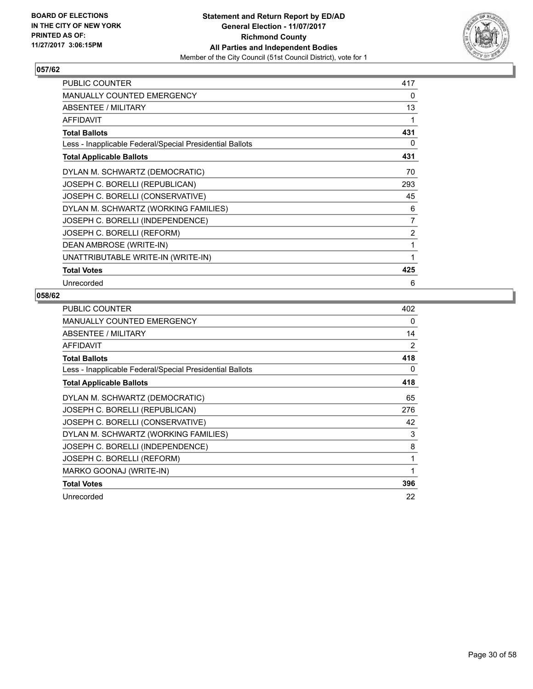

| PUBLIC COUNTER                                           | 417            |
|----------------------------------------------------------|----------------|
| <b>MANUALLY COUNTED EMERGENCY</b>                        | 0              |
| <b>ABSENTEE / MILITARY</b>                               | 13             |
| <b>AFFIDAVIT</b>                                         | 1              |
| <b>Total Ballots</b>                                     | 431            |
| Less - Inapplicable Federal/Special Presidential Ballots | 0              |
| <b>Total Applicable Ballots</b>                          | 431            |
| DYLAN M. SCHWARTZ (DEMOCRATIC)                           | 70             |
| JOSEPH C. BORELLI (REPUBLICAN)                           | 293            |
| JOSEPH C. BORELLI (CONSERVATIVE)                         | 45             |
| DYLAN M. SCHWARTZ (WORKING FAMILIES)                     | 6              |
| JOSEPH C. BORELLI (INDEPENDENCE)                         | $\overline{7}$ |
| JOSEPH C. BORELLI (REFORM)                               | 2              |
| DEAN AMBROSE (WRITE-IN)                                  | 1              |
| UNATTRIBUTABLE WRITE-IN (WRITE-IN)                       | 1              |
| <b>Total Votes</b>                                       | 425            |
| Unrecorded                                               | 6              |

| <b>PUBLIC COUNTER</b>                                    | 402 |
|----------------------------------------------------------|-----|
| <b>MANUALLY COUNTED EMERGENCY</b>                        | 0   |
| ABSENTEE / MILITARY                                      | 14  |
| AFFIDAVIT                                                | 2   |
| <b>Total Ballots</b>                                     | 418 |
| Less - Inapplicable Federal/Special Presidential Ballots | 0   |
| <b>Total Applicable Ballots</b>                          | 418 |
| DYLAN M. SCHWARTZ (DEMOCRATIC)                           | 65  |
| JOSEPH C. BORELLI (REPUBLICAN)                           | 276 |
| JOSEPH C. BORELLI (CONSERVATIVE)                         | 42  |
| DYLAN M. SCHWARTZ (WORKING FAMILIES)                     | 3   |
| JOSEPH C. BORELLI (INDEPENDENCE)                         | 8   |
| JOSEPH C. BORELLI (REFORM)                               | 1   |
| MARKO GOONAJ (WRITE-IN)                                  | 1   |
| <b>Total Votes</b>                                       | 396 |
| Unrecorded                                               | 22  |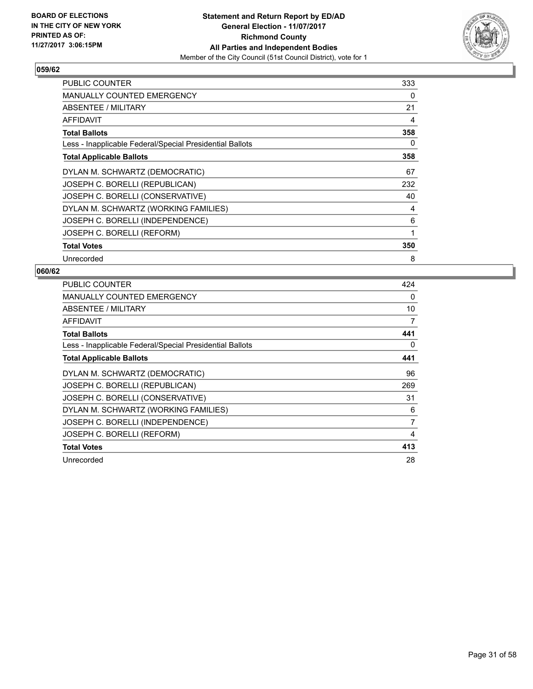

| <b>PUBLIC COUNTER</b>                                    | 333 |
|----------------------------------------------------------|-----|
| MANUALLY COUNTED EMERGENCY                               | 0   |
| ABSENTEE / MILITARY                                      | 21  |
| AFFIDAVIT                                                | 4   |
| <b>Total Ballots</b>                                     | 358 |
| Less - Inapplicable Federal/Special Presidential Ballots | 0   |
| <b>Total Applicable Ballots</b>                          | 358 |
| DYLAN M. SCHWARTZ (DEMOCRATIC)                           | 67  |
| JOSEPH C. BORELLI (REPUBLICAN)                           | 232 |
| JOSEPH C. BORELLI (CONSERVATIVE)                         | 40  |
| DYLAN M. SCHWARTZ (WORKING FAMILIES)                     | 4   |
| JOSEPH C. BORELLI (INDEPENDENCE)                         | 6   |
| JOSEPH C. BORELLI (REFORM)                               | 1   |
| <b>Total Votes</b>                                       | 350 |
| Unrecorded                                               | 8   |

| <b>PUBLIC COUNTER</b>                                    | 424 |
|----------------------------------------------------------|-----|
| <b>MANUALLY COUNTED EMERGENCY</b>                        | 0   |
| ABSENTEE / MILITARY                                      | 10  |
| <b>AFFIDAVIT</b>                                         | 7   |
| <b>Total Ballots</b>                                     | 441 |
| Less - Inapplicable Federal/Special Presidential Ballots | 0   |
| <b>Total Applicable Ballots</b>                          | 441 |
| DYLAN M. SCHWARTZ (DEMOCRATIC)                           | 96  |
| JOSEPH C. BORELLI (REPUBLICAN)                           | 269 |
| JOSEPH C. BORELLI (CONSERVATIVE)                         | 31  |
| DYLAN M. SCHWARTZ (WORKING FAMILIES)                     | 6   |
| JOSEPH C. BORELLI (INDEPENDENCE)                         | 7   |
| JOSEPH C. BORELLI (REFORM)                               | 4   |
| <b>Total Votes</b>                                       | 413 |
| Unrecorded                                               | 28  |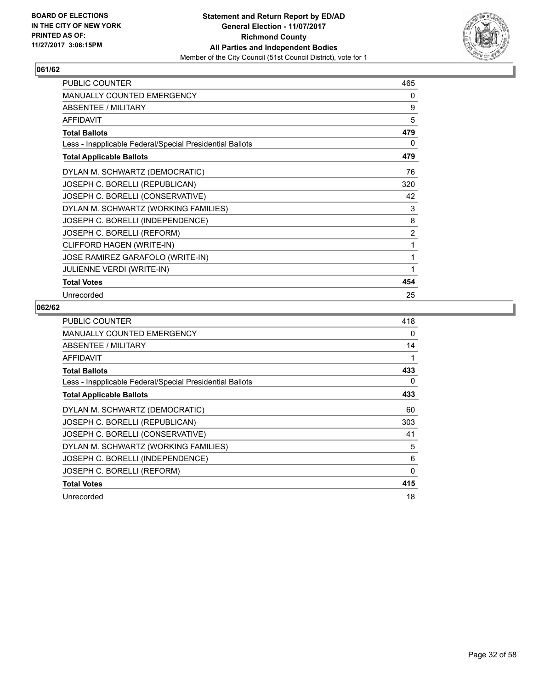

| PUBLIC COUNTER                                           | 465            |
|----------------------------------------------------------|----------------|
| MANUALLY COUNTED EMERGENCY                               | 0              |
| ABSENTEE / MILITARY                                      | 9              |
| <b>AFFIDAVIT</b>                                         | 5              |
| <b>Total Ballots</b>                                     | 479            |
| Less - Inapplicable Federal/Special Presidential Ballots | 0              |
| <b>Total Applicable Ballots</b>                          | 479            |
| DYLAN M. SCHWARTZ (DEMOCRATIC)                           | 76             |
| JOSEPH C. BORELLI (REPUBLICAN)                           | 320            |
| JOSEPH C. BORELLI (CONSERVATIVE)                         | 42             |
| DYLAN M. SCHWARTZ (WORKING FAMILIES)                     | 3              |
| JOSEPH C. BORELLI (INDEPENDENCE)                         | 8              |
| JOSEPH C. BORELLI (REFORM)                               | $\overline{2}$ |
| CLIFFORD HAGEN (WRITE-IN)                                | 1              |
| JOSE RAMIREZ GARAFOLO (WRITE-IN)                         | 1              |
| <b>JULIENNE VERDI (WRITE-IN)</b>                         | 1              |
| <b>Total Votes</b>                                       | 454            |
| Unrecorded                                               | 25             |

| <b>PUBLIC COUNTER</b>                                    | 418 |
|----------------------------------------------------------|-----|
| <b>MANUALLY COUNTED EMERGENCY</b>                        | 0   |
| ABSENTEE / MILITARY                                      | 14  |
| <b>AFFIDAVIT</b>                                         | 1   |
| <b>Total Ballots</b>                                     | 433 |
| Less - Inapplicable Federal/Special Presidential Ballots | 0   |
| <b>Total Applicable Ballots</b>                          | 433 |
| DYLAN M. SCHWARTZ (DEMOCRATIC)                           | 60  |
| JOSEPH C. BORELLI (REPUBLICAN)                           | 303 |
| JOSEPH C. BORELLI (CONSERVATIVE)                         | 41  |
| DYLAN M. SCHWARTZ (WORKING FAMILIES)                     | 5   |
| JOSEPH C. BORELLI (INDEPENDENCE)                         | 6   |
| JOSEPH C. BORELLI (REFORM)                               | 0   |
| <b>Total Votes</b>                                       | 415 |
| Unrecorded                                               | 18  |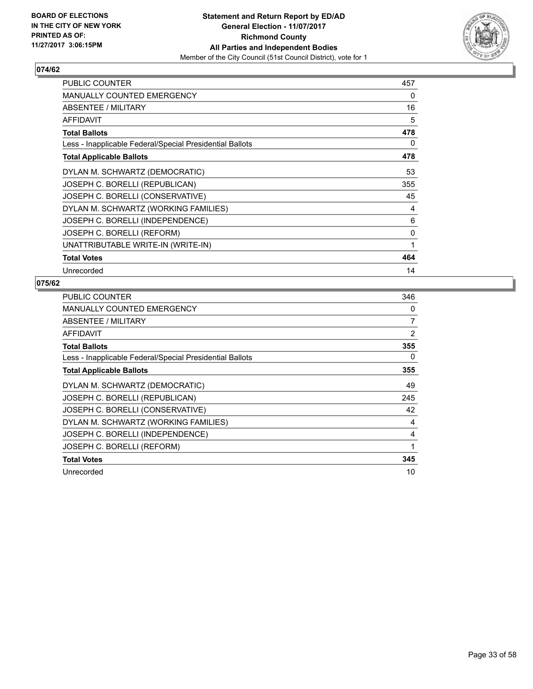

| <b>PUBLIC COUNTER</b>                                    | 457 |
|----------------------------------------------------------|-----|
| <b>MANUALLY COUNTED EMERGENCY</b>                        | 0   |
| ABSENTEE / MILITARY                                      | 16  |
| <b>AFFIDAVIT</b>                                         | 5   |
| <b>Total Ballots</b>                                     | 478 |
| Less - Inapplicable Federal/Special Presidential Ballots | 0   |
| <b>Total Applicable Ballots</b>                          | 478 |
| DYLAN M. SCHWARTZ (DEMOCRATIC)                           | 53  |
| JOSEPH C. BORELLI (REPUBLICAN)                           | 355 |
| JOSEPH C. BORELLI (CONSERVATIVE)                         | 45  |
| DYLAN M. SCHWARTZ (WORKING FAMILIES)                     | 4   |
| JOSEPH C. BORELLI (INDEPENDENCE)                         | 6   |
| JOSEPH C. BORELLI (REFORM)                               | 0   |
| UNATTRIBUTABLE WRITE-IN (WRITE-IN)                       | 1   |
| <b>Total Votes</b>                                       | 464 |
| Unrecorded                                               | 14  |

| <b>PUBLIC COUNTER</b>                                    | 346 |
|----------------------------------------------------------|-----|
| <b>MANUALLY COUNTED EMERGENCY</b>                        | 0   |
| <b>ABSENTEE / MILITARY</b>                               | 7   |
| AFFIDAVIT                                                | 2   |
| <b>Total Ballots</b>                                     | 355 |
| Less - Inapplicable Federal/Special Presidential Ballots | 0   |
| <b>Total Applicable Ballots</b>                          | 355 |
| DYLAN M. SCHWARTZ (DEMOCRATIC)                           | 49  |
| JOSEPH C. BORELLI (REPUBLICAN)                           | 245 |
| JOSEPH C. BORELLI (CONSERVATIVE)                         | 42  |
| DYLAN M. SCHWARTZ (WORKING FAMILIES)                     | 4   |
| JOSEPH C. BORELLI (INDEPENDENCE)                         | 4   |
| JOSEPH C. BORELLI (REFORM)                               | 1   |
| <b>Total Votes</b>                                       | 345 |
| Unrecorded                                               | 10  |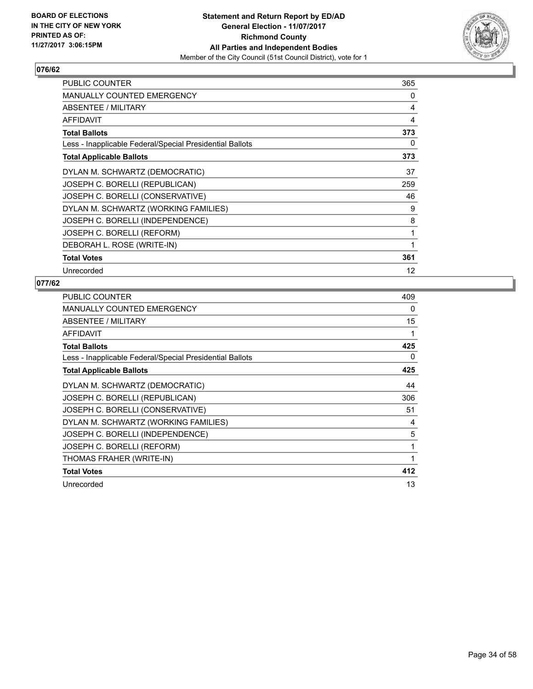

| <b>PUBLIC COUNTER</b>                                    | 365 |
|----------------------------------------------------------|-----|
| <b>MANUALLY COUNTED EMERGENCY</b>                        | 0   |
| ABSENTEE / MILITARY                                      | 4   |
| <b>AFFIDAVIT</b>                                         | 4   |
| <b>Total Ballots</b>                                     | 373 |
| Less - Inapplicable Federal/Special Presidential Ballots | 0   |
| <b>Total Applicable Ballots</b>                          | 373 |
| DYLAN M. SCHWARTZ (DEMOCRATIC)                           | 37  |
| JOSEPH C. BORELLI (REPUBLICAN)                           | 259 |
| JOSEPH C. BORELLI (CONSERVATIVE)                         | 46  |
| DYLAN M. SCHWARTZ (WORKING FAMILIES)                     | 9   |
| JOSEPH C. BORELLI (INDEPENDENCE)                         | 8   |
| JOSEPH C. BORELLI (REFORM)                               | 1   |
| DEBORAH L. ROSE (WRITE-IN)                               | 1   |
| <b>Total Votes</b>                                       | 361 |
| Unrecorded                                               | 12  |

| <b>PUBLIC COUNTER</b>                                    | 409 |
|----------------------------------------------------------|-----|
| <b>MANUALLY COUNTED EMERGENCY</b>                        | 0   |
| ABSENTEE / MILITARY                                      | 15  |
| <b>AFFIDAVIT</b>                                         |     |
| <b>Total Ballots</b>                                     | 425 |
| Less - Inapplicable Federal/Special Presidential Ballots | 0   |
| <b>Total Applicable Ballots</b>                          | 425 |
| DYLAN M. SCHWARTZ (DEMOCRATIC)                           | 44  |
| JOSEPH C. BORELLI (REPUBLICAN)                           | 306 |
| JOSEPH C. BORELLI (CONSERVATIVE)                         | 51  |
| DYLAN M. SCHWARTZ (WORKING FAMILIES)                     | 4   |
| JOSEPH C. BORELLI (INDEPENDENCE)                         | 5   |
| JOSEPH C. BORELLI (REFORM)                               | 1   |
| THOMAS FRAHER (WRITE-IN)                                 | 1   |
| <b>Total Votes</b>                                       | 412 |
| Unrecorded                                               | 13  |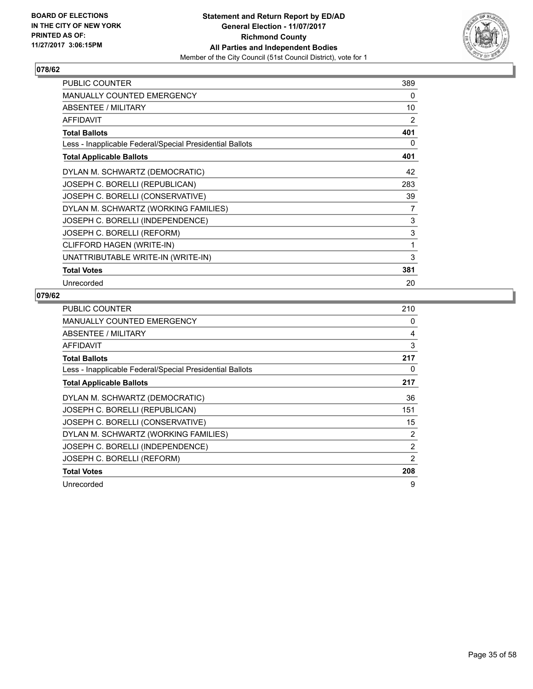

| PUBLIC COUNTER                                           | 389 |
|----------------------------------------------------------|-----|
| <b>MANUALLY COUNTED EMERGENCY</b>                        | 0   |
| <b>ABSENTEE / MILITARY</b>                               | 10  |
| <b>AFFIDAVIT</b>                                         | 2   |
| <b>Total Ballots</b>                                     | 401 |
| Less - Inapplicable Federal/Special Presidential Ballots | 0   |
| <b>Total Applicable Ballots</b>                          | 401 |
| DYLAN M. SCHWARTZ (DEMOCRATIC)                           | 42  |
| JOSEPH C. BORELLI (REPUBLICAN)                           | 283 |
| JOSEPH C. BORELLI (CONSERVATIVE)                         | 39  |
| DYLAN M. SCHWARTZ (WORKING FAMILIES)                     | 7   |
| JOSEPH C. BORELLI (INDEPENDENCE)                         | 3   |
| JOSEPH C. BORELLI (REFORM)                               | 3   |
| CLIFFORD HAGEN (WRITE-IN)                                | 1   |
| UNATTRIBUTABLE WRITE-IN (WRITE-IN)                       | 3   |
| <b>Total Votes</b>                                       | 381 |
| Unrecorded                                               | 20  |

| PUBLIC COUNTER                                           | 210 |
|----------------------------------------------------------|-----|
| <b>MANUALLY COUNTED EMERGENCY</b>                        | 0   |
| ABSENTEE / MILITARY                                      | 4   |
| AFFIDAVIT                                                | 3   |
| <b>Total Ballots</b>                                     | 217 |
| Less - Inapplicable Federal/Special Presidential Ballots | 0   |
| <b>Total Applicable Ballots</b>                          | 217 |
| DYLAN M. SCHWARTZ (DEMOCRATIC)                           | 36  |
| JOSEPH C. BORELLI (REPUBLICAN)                           | 151 |
| JOSEPH C. BORELLI (CONSERVATIVE)                         | 15  |
| DYLAN M. SCHWARTZ (WORKING FAMILIES)                     | 2   |
| JOSEPH C. BORELLI (INDEPENDENCE)                         | 2   |
| JOSEPH C. BORELLI (REFORM)                               | 2   |
| <b>Total Votes</b>                                       | 208 |
| Unrecorded                                               | 9   |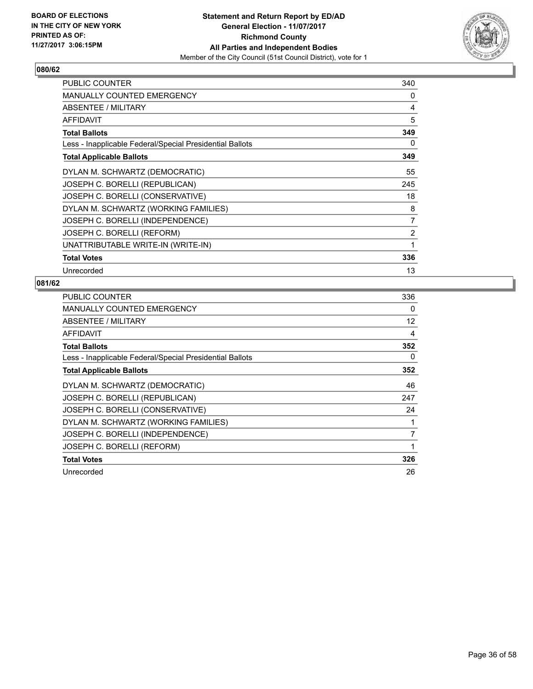

| <b>PUBLIC COUNTER</b>                                    | 340 |
|----------------------------------------------------------|-----|
| <b>MANUALLY COUNTED EMERGENCY</b>                        | 0   |
| ABSENTEE / MILITARY                                      | 4   |
| <b>AFFIDAVIT</b>                                         | 5   |
| <b>Total Ballots</b>                                     | 349 |
| Less - Inapplicable Federal/Special Presidential Ballots | 0   |
| <b>Total Applicable Ballots</b>                          | 349 |
| DYLAN M. SCHWARTZ (DEMOCRATIC)                           | 55  |
| JOSEPH C. BORELLI (REPUBLICAN)                           | 245 |
| JOSEPH C. BORELLI (CONSERVATIVE)                         | 18  |
| DYLAN M. SCHWARTZ (WORKING FAMILIES)                     | 8   |
| JOSEPH C. BORELLI (INDEPENDENCE)                         | 7   |
| JOSEPH C. BORELLI (REFORM)                               | 2   |
| UNATTRIBUTABLE WRITE-IN (WRITE-IN)                       | 1   |
| <b>Total Votes</b>                                       | 336 |
| Unrecorded                                               | 13  |

| <b>PUBLIC COUNTER</b>                                    | 336               |
|----------------------------------------------------------|-------------------|
| <b>MANUALLY COUNTED EMERGENCY</b>                        | 0                 |
| ABSENTEE / MILITARY                                      | $12 \overline{ }$ |
| AFFIDAVIT                                                | 4                 |
| <b>Total Ballots</b>                                     | 352               |
| Less - Inapplicable Federal/Special Presidential Ballots | 0                 |
| <b>Total Applicable Ballots</b>                          | 352               |
| DYLAN M. SCHWARTZ (DEMOCRATIC)                           | 46                |
| JOSEPH C. BORELLI (REPUBLICAN)                           | 247               |
| JOSEPH C. BORELLI (CONSERVATIVE)                         | 24                |
| DYLAN M. SCHWARTZ (WORKING FAMILIES)                     |                   |
| JOSEPH C. BORELLI (INDEPENDENCE)                         | 7                 |
| JOSEPH C. BORELLI (REFORM)                               | 1                 |
| <b>Total Votes</b>                                       | 326               |
| Unrecorded                                               | 26                |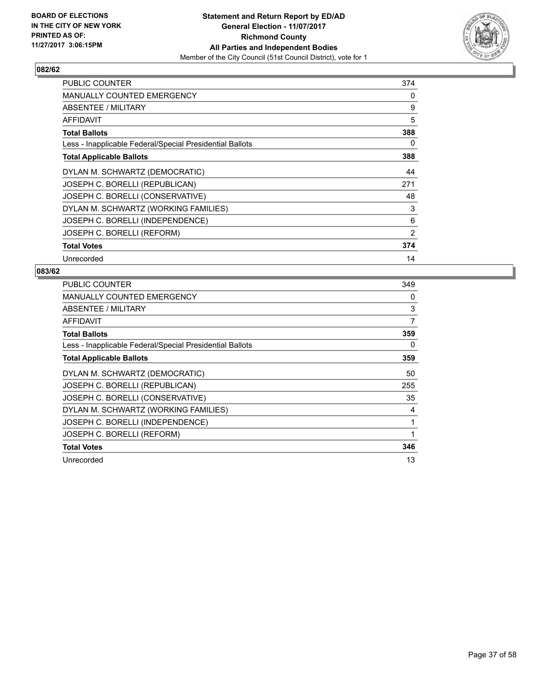

| <b>PUBLIC COUNTER</b>                                    | 374 |
|----------------------------------------------------------|-----|
| <b>MANUALLY COUNTED EMERGENCY</b>                        | 0   |
| <b>ABSENTEE / MILITARY</b>                               | 9   |
| AFFIDAVIT                                                | 5   |
| <b>Total Ballots</b>                                     | 388 |
| Less - Inapplicable Federal/Special Presidential Ballots | 0   |
| <b>Total Applicable Ballots</b>                          | 388 |
| DYLAN M. SCHWARTZ (DEMOCRATIC)                           | 44  |
| JOSEPH C. BORELLI (REPUBLICAN)                           | 271 |
| JOSEPH C. BORELLI (CONSERVATIVE)                         | 48  |
| DYLAN M. SCHWARTZ (WORKING FAMILIES)                     | 3   |
| JOSEPH C. BORELLI (INDEPENDENCE)                         | 6   |
| JOSEPH C. BORELLI (REFORM)                               | 2   |
| <b>Total Votes</b>                                       | 374 |
| Unrecorded                                               | 14  |

| <b>PUBLIC COUNTER</b>                                    | 349 |
|----------------------------------------------------------|-----|
| MANUALLY COUNTED EMERGENCY                               | 0   |
| ABSENTEE / MILITARY                                      | 3   |
| AFFIDAVIT                                                | 7   |
| <b>Total Ballots</b>                                     | 359 |
| Less - Inapplicable Federal/Special Presidential Ballots | 0   |
| <b>Total Applicable Ballots</b>                          | 359 |
| DYLAN M. SCHWARTZ (DEMOCRATIC)                           | 50  |
| JOSEPH C. BORELLI (REPUBLICAN)                           | 255 |
| JOSEPH C. BORELLI (CONSERVATIVE)                         | 35  |
| DYLAN M. SCHWARTZ (WORKING FAMILIES)                     | 4   |
| JOSEPH C. BORELLI (INDEPENDENCE)                         | 1   |
| JOSEPH C. BORELLI (REFORM)                               | 1   |
| <b>Total Votes</b>                                       | 346 |
| Unrecorded                                               | 13  |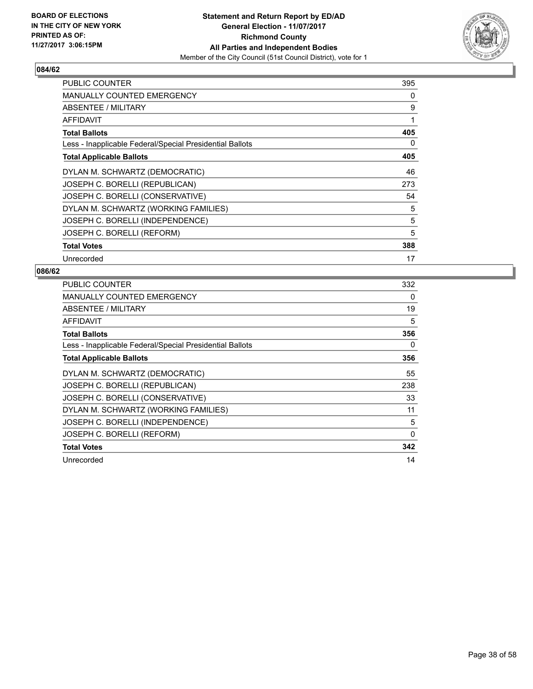

| <b>PUBLIC COUNTER</b>                                    | 395 |
|----------------------------------------------------------|-----|
| <b>MANUALLY COUNTED EMERGENCY</b>                        | 0   |
| ABSENTEE / MILITARY                                      | 9   |
| <b>AFFIDAVIT</b>                                         | 1   |
| <b>Total Ballots</b>                                     | 405 |
| Less - Inapplicable Federal/Special Presidential Ballots | 0   |
| <b>Total Applicable Ballots</b>                          | 405 |
| DYLAN M. SCHWARTZ (DEMOCRATIC)                           | 46  |
| JOSEPH C. BORELLI (REPUBLICAN)                           | 273 |
| JOSEPH C. BORELLI (CONSERVATIVE)                         | 54  |
| DYLAN M. SCHWARTZ (WORKING FAMILIES)                     | 5   |
| JOSEPH C. BORELLI (INDEPENDENCE)                         | 5   |
| JOSEPH C. BORELLI (REFORM)                               | 5   |
| <b>Total Votes</b>                                       | 388 |
| Unrecorded                                               | 17  |

| <b>PUBLIC COUNTER</b>                                    | 332      |
|----------------------------------------------------------|----------|
| <b>MANUALLY COUNTED EMERGENCY</b>                        | 0        |
| ABSENTEE / MILITARY                                      | 19       |
| <b>AFFIDAVIT</b>                                         | 5        |
| <b>Total Ballots</b>                                     | 356      |
| Less - Inapplicable Federal/Special Presidential Ballots | 0        |
| <b>Total Applicable Ballots</b>                          | 356      |
| DYLAN M. SCHWARTZ (DEMOCRATIC)                           | 55       |
| JOSEPH C. BORELLI (REPUBLICAN)                           | 238      |
| JOSEPH C. BORELLI (CONSERVATIVE)                         | 33       |
| DYLAN M. SCHWARTZ (WORKING FAMILIES)                     | 11       |
| JOSEPH C. BORELLI (INDEPENDENCE)                         | 5        |
| JOSEPH C. BORELLI (REFORM)                               | $\Omega$ |
| <b>Total Votes</b>                                       | 342      |
| Unrecorded                                               | 14       |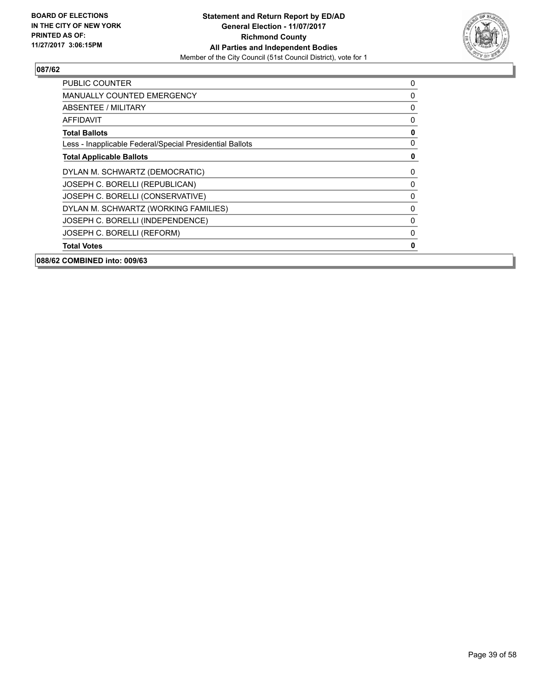

| <b>PUBLIC COUNTER</b>                                    | 0            |
|----------------------------------------------------------|--------------|
| <b>MANUALLY COUNTED EMERGENCY</b>                        | 0            |
| ABSENTEE / MILITARY                                      | 0            |
| <b>AFFIDAVIT</b>                                         | 0            |
| <b>Total Ballots</b>                                     | 0            |
| Less - Inapplicable Federal/Special Presidential Ballots | $\mathbf{0}$ |
| <b>Total Applicable Ballots</b>                          | 0            |
| DYLAN M. SCHWARTZ (DEMOCRATIC)                           | 0            |
| JOSEPH C. BORELLI (REPUBLICAN)                           | $\mathbf{0}$ |
| JOSEPH C. BORELLI (CONSERVATIVE)                         | 0            |
| DYLAN M. SCHWARTZ (WORKING FAMILIES)                     | 0            |
| JOSEPH C. BORELLI (INDEPENDENCE)                         | 0            |
| JOSEPH C. BORELLI (REFORM)                               | $\mathbf{0}$ |
| <b>Total Votes</b>                                       | 0            |
| 088/62 COMBINED into: 009/63                             |              |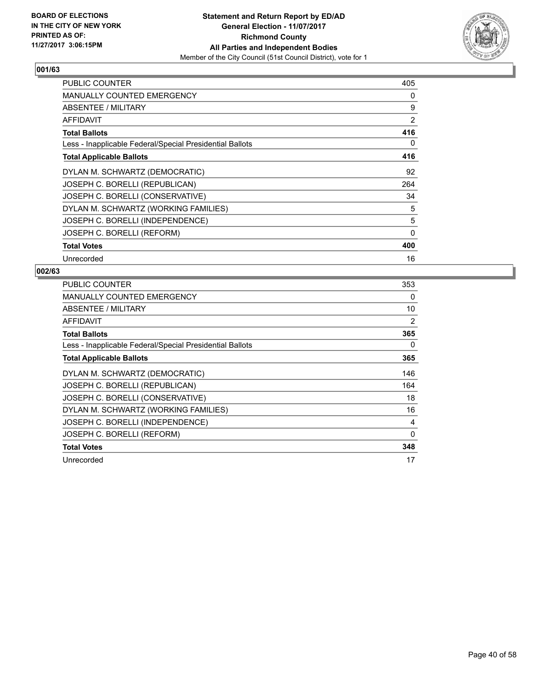

| <b>PUBLIC COUNTER</b>                                    | 405 |
|----------------------------------------------------------|-----|
| MANUALLY COUNTED EMERGENCY                               | 0   |
| ABSENTEE / MILITARY                                      | 9   |
| AFFIDAVIT                                                | 2   |
| <b>Total Ballots</b>                                     | 416 |
| Less - Inapplicable Federal/Special Presidential Ballots | 0   |
| <b>Total Applicable Ballots</b>                          | 416 |
| DYLAN M. SCHWARTZ (DEMOCRATIC)                           | 92  |
| JOSEPH C. BORELLI (REPUBLICAN)                           | 264 |
| JOSEPH C. BORELLI (CONSERVATIVE)                         | 34  |
| DYLAN M. SCHWARTZ (WORKING FAMILIES)                     | 5   |
| JOSEPH C. BORELLI (INDEPENDENCE)                         | 5   |
| JOSEPH C. BORELLI (REFORM)                               | 0   |
| <b>Total Votes</b>                                       | 400 |
| Unrecorded                                               | 16  |

| PUBLIC COUNTER                                           | 353 |
|----------------------------------------------------------|-----|
| <b>MANUALLY COUNTED EMERGENCY</b>                        | 0   |
| ABSENTEE / MILITARY                                      | 10  |
| AFFIDAVIT                                                | 2   |
| <b>Total Ballots</b>                                     | 365 |
| Less - Inapplicable Federal/Special Presidential Ballots | 0   |
| <b>Total Applicable Ballots</b>                          | 365 |
| DYLAN M. SCHWARTZ (DEMOCRATIC)                           | 146 |
| JOSEPH C. BORELLI (REPUBLICAN)                           | 164 |
| JOSEPH C. BORELLI (CONSERVATIVE)                         | 18  |
| DYLAN M. SCHWARTZ (WORKING FAMILIES)                     | 16  |
| JOSEPH C. BORELLI (INDEPENDENCE)                         | 4   |
| JOSEPH C. BORELLI (REFORM)                               | 0   |
| <b>Total Votes</b>                                       | 348 |
| Unrecorded                                               | 17  |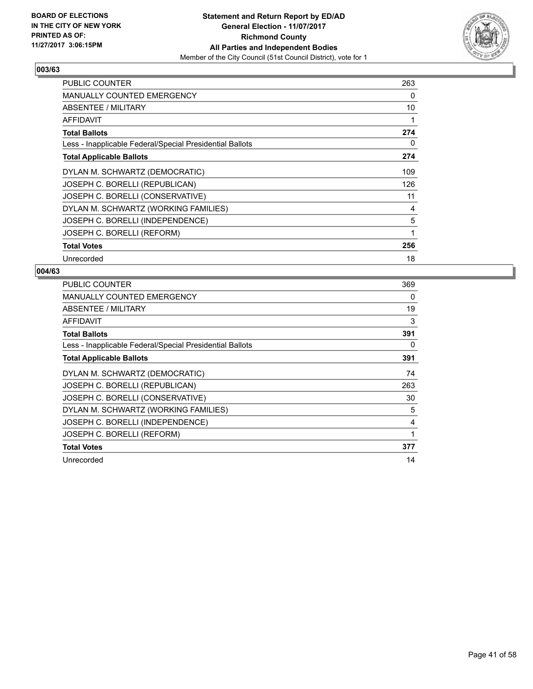

| <b>PUBLIC COUNTER</b>                                    | 263 |
|----------------------------------------------------------|-----|
| <b>MANUALLY COUNTED EMERGENCY</b>                        | 0   |
| ABSENTEE / MILITARY                                      | 10  |
| AFFIDAVIT                                                | 1   |
| <b>Total Ballots</b>                                     | 274 |
| Less - Inapplicable Federal/Special Presidential Ballots | 0   |
| <b>Total Applicable Ballots</b>                          | 274 |
| DYLAN M. SCHWARTZ (DEMOCRATIC)                           | 109 |
| JOSEPH C. BORELLI (REPUBLICAN)                           | 126 |
| JOSEPH C. BORELLI (CONSERVATIVE)                         | 11  |
| DYLAN M. SCHWARTZ (WORKING FAMILIES)                     | 4   |
| JOSEPH C. BORELLI (INDEPENDENCE)                         | 5   |
| JOSEPH C. BORELLI (REFORM)                               | 1   |
| <b>Total Votes</b>                                       | 256 |
| Unrecorded                                               | 18  |

| PUBLIC COUNTER                                           | 369 |
|----------------------------------------------------------|-----|
| <b>MANUALLY COUNTED EMERGENCY</b>                        | 0   |
| <b>ABSENTEE / MILITARY</b>                               | 19  |
| AFFIDAVIT                                                | 3   |
| <b>Total Ballots</b>                                     | 391 |
| Less - Inapplicable Federal/Special Presidential Ballots | 0   |
| <b>Total Applicable Ballots</b>                          | 391 |
| DYLAN M. SCHWARTZ (DEMOCRATIC)                           | 74  |
| JOSEPH C. BORELLI (REPUBLICAN)                           | 263 |
| JOSEPH C. BORELLI (CONSERVATIVE)                         | 30  |
| DYLAN M. SCHWARTZ (WORKING FAMILIES)                     | 5   |
| JOSEPH C. BORELLI (INDEPENDENCE)                         | 4   |
| JOSEPH C. BORELLI (REFORM)                               | 1   |
| <b>Total Votes</b>                                       | 377 |
| Unrecorded                                               | 14  |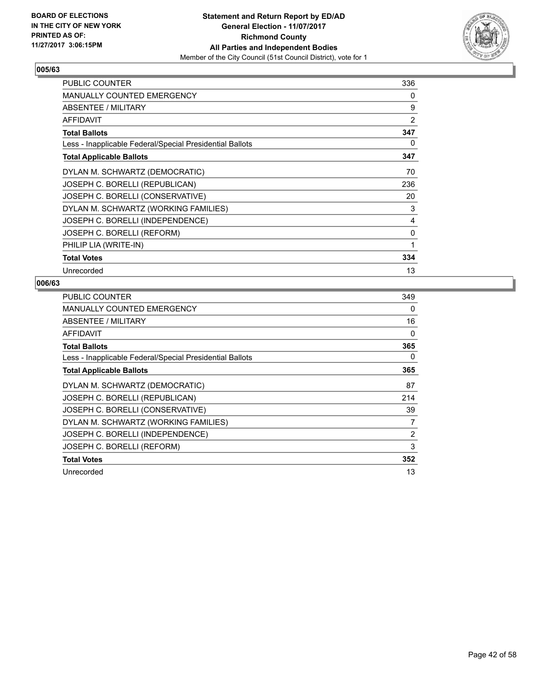

| <b>PUBLIC COUNTER</b>                                    | 336 |
|----------------------------------------------------------|-----|
| <b>MANUALLY COUNTED EMERGENCY</b>                        | 0   |
| ABSENTEE / MILITARY                                      | 9   |
| <b>AFFIDAVIT</b>                                         | 2   |
| <b>Total Ballots</b>                                     | 347 |
| Less - Inapplicable Federal/Special Presidential Ballots | 0   |
| <b>Total Applicable Ballots</b>                          | 347 |
| DYLAN M. SCHWARTZ (DEMOCRATIC)                           | 70  |
| JOSEPH C. BORELLI (REPUBLICAN)                           | 236 |
| JOSEPH C. BORELLI (CONSERVATIVE)                         | 20  |
| DYLAN M. SCHWARTZ (WORKING FAMILIES)                     | 3   |
| JOSEPH C. BORELLI (INDEPENDENCE)                         | 4   |
| JOSEPH C. BORELLI (REFORM)                               | 0   |
| PHILIP LIA (WRITE-IN)                                    | 1   |
| <b>Total Votes</b>                                       | 334 |
| Unrecorded                                               | 13  |

| PUBLIC COUNTER                                           | 349            |
|----------------------------------------------------------|----------------|
| <b>MANUALLY COUNTED EMERGENCY</b>                        | 0              |
| ABSENTEE / MILITARY                                      | 16             |
| AFFIDAVIT                                                | 0              |
| <b>Total Ballots</b>                                     | 365            |
| Less - Inapplicable Federal/Special Presidential Ballots | 0              |
| <b>Total Applicable Ballots</b>                          | 365            |
| DYLAN M. SCHWARTZ (DEMOCRATIC)                           | 87             |
| JOSEPH C. BORELLI (REPUBLICAN)                           | 214            |
| JOSEPH C. BORELLI (CONSERVATIVE)                         | 39             |
| DYLAN M. SCHWARTZ (WORKING FAMILIES)                     | 7              |
| JOSEPH C. BORELLI (INDEPENDENCE)                         | $\overline{2}$ |
| JOSEPH C. BORELLI (REFORM)                               | 3              |
| <b>Total Votes</b>                                       | 352            |
| Unrecorded                                               | 13             |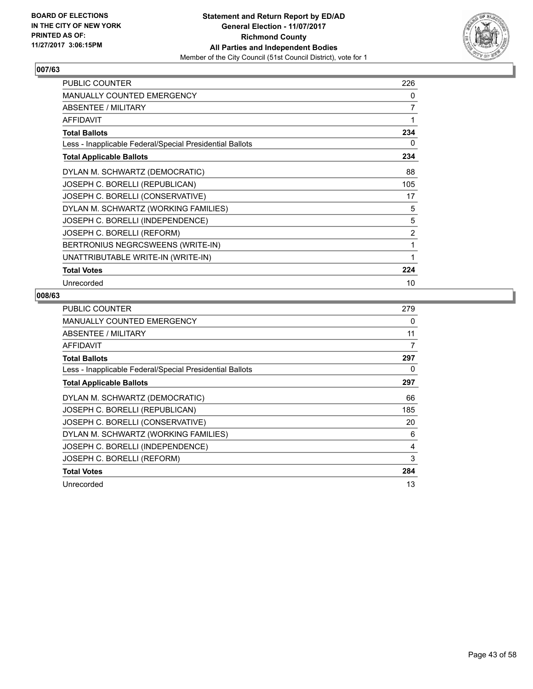

| <b>PUBLIC COUNTER</b>                                    | 226 |
|----------------------------------------------------------|-----|
| MANUALLY COUNTED EMERGENCY                               | 0   |
| ABSENTEE / MILITARY                                      | 7   |
| <b>AFFIDAVIT</b>                                         | 1   |
| <b>Total Ballots</b>                                     | 234 |
| Less - Inapplicable Federal/Special Presidential Ballots | 0   |
| <b>Total Applicable Ballots</b>                          | 234 |
| DYLAN M. SCHWARTZ (DEMOCRATIC)                           | 88  |
| JOSEPH C. BORELLI (REPUBLICAN)                           | 105 |
| JOSEPH C. BORELLI (CONSERVATIVE)                         | 17  |
| DYLAN M. SCHWARTZ (WORKING FAMILIES)                     | 5   |
| JOSEPH C. BORELLI (INDEPENDENCE)                         | 5   |
| JOSEPH C. BORELLI (REFORM)                               | 2   |
| BERTRONIUS NEGRCSWEENS (WRITE-IN)                        | 1   |
| UNATTRIBUTABLE WRITE-IN (WRITE-IN)                       | 1   |
| <b>Total Votes</b>                                       | 224 |
| Unrecorded                                               | 10  |

| PUBLIC COUNTER                                           | 279 |
|----------------------------------------------------------|-----|
| <b>MANUALLY COUNTED EMERGENCY</b>                        | 0   |
| ABSENTEE / MILITARY                                      | 11  |
| AFFIDAVIT                                                | 7   |
| <b>Total Ballots</b>                                     | 297 |
| Less - Inapplicable Federal/Special Presidential Ballots | 0   |
| <b>Total Applicable Ballots</b>                          | 297 |
| DYLAN M. SCHWARTZ (DEMOCRATIC)                           | 66  |
| JOSEPH C. BORELLI (REPUBLICAN)                           | 185 |
| JOSEPH C. BORELLI (CONSERVATIVE)                         | 20  |
| DYLAN M. SCHWARTZ (WORKING FAMILIES)                     | 6   |
| JOSEPH C. BORELLI (INDEPENDENCE)                         | 4   |
| JOSEPH C. BORELLI (REFORM)                               | 3   |
| <b>Total Votes</b>                                       | 284 |
| Unrecorded                                               | 13  |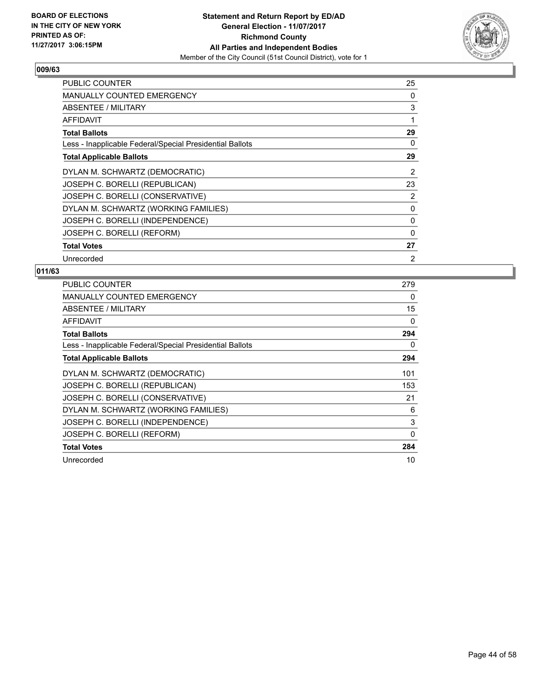

| <b>PUBLIC COUNTER</b>                                    | 25             |
|----------------------------------------------------------|----------------|
| <b>MANUALLY COUNTED EMERGENCY</b>                        | 0              |
| ABSENTEE / MILITARY                                      | 3              |
| AFFIDAVIT                                                | 1              |
| <b>Total Ballots</b>                                     | 29             |
| Less - Inapplicable Federal/Special Presidential Ballots | 0              |
| <b>Total Applicable Ballots</b>                          | 29             |
| DYLAN M. SCHWARTZ (DEMOCRATIC)                           | $\overline{2}$ |
| JOSEPH C. BORELLI (REPUBLICAN)                           | 23             |
| JOSEPH C. BORELLI (CONSERVATIVE)                         | 2              |
| DYLAN M. SCHWARTZ (WORKING FAMILIES)                     | 0              |
| JOSEPH C. BORELLI (INDEPENDENCE)                         | 0              |
| JOSEPH C. BORELLI (REFORM)                               | 0              |
| <b>Total Votes</b>                                       | 27             |
| Unrecorded                                               | 2              |

| <b>PUBLIC COUNTER</b>                                    | 279      |
|----------------------------------------------------------|----------|
| <b>MANUALLY COUNTED EMERGENCY</b>                        | 0        |
| ABSENTEE / MILITARY                                      | 15       |
| <b>AFFIDAVIT</b>                                         | 0        |
| <b>Total Ballots</b>                                     | 294      |
| Less - Inapplicable Federal/Special Presidential Ballots | 0        |
| <b>Total Applicable Ballots</b>                          | 294      |
| DYLAN M. SCHWARTZ (DEMOCRATIC)                           | 101      |
| JOSEPH C. BORELLI (REPUBLICAN)                           | 153      |
| JOSEPH C. BORELLI (CONSERVATIVE)                         | 21       |
| DYLAN M. SCHWARTZ (WORKING FAMILIES)                     | 6        |
| JOSEPH C. BORELLI (INDEPENDENCE)                         | 3        |
| JOSEPH C. BORELLI (REFORM)                               | $\Omega$ |
| <b>Total Votes</b>                                       | 284      |
| Unrecorded                                               | 10       |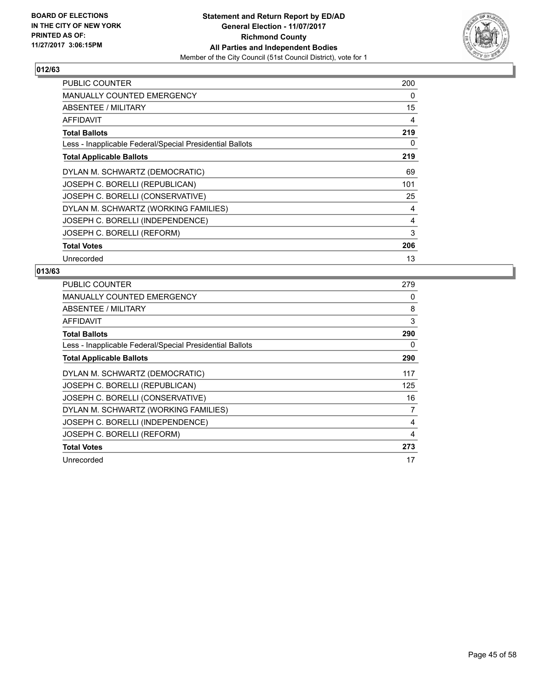

| <b>PUBLIC COUNTER</b>                                    | 200 |
|----------------------------------------------------------|-----|
| MANUALLY COUNTED EMERGENCY                               | 0   |
| ABSENTEE / MILITARY                                      | 15  |
| AFFIDAVIT                                                | 4   |
| <b>Total Ballots</b>                                     | 219 |
| Less - Inapplicable Federal/Special Presidential Ballots | 0   |
| <b>Total Applicable Ballots</b>                          | 219 |
| DYLAN M. SCHWARTZ (DEMOCRATIC)                           | 69  |
| JOSEPH C. BORELLI (REPUBLICAN)                           | 101 |
| JOSEPH C. BORELLI (CONSERVATIVE)                         | 25  |
| DYLAN M. SCHWARTZ (WORKING FAMILIES)                     | 4   |
| JOSEPH C. BORELLI (INDEPENDENCE)                         | 4   |
| JOSEPH C. BORELLI (REFORM)                               | 3   |
| <b>Total Votes</b>                                       | 206 |
| Unrecorded                                               | 13  |

| PUBLIC COUNTER                                           | 279 |
|----------------------------------------------------------|-----|
| <b>MANUALLY COUNTED EMERGENCY</b>                        | 0   |
| ABSENTEE / MILITARY                                      | 8   |
| AFFIDAVIT                                                | 3   |
| <b>Total Ballots</b>                                     | 290 |
| Less - Inapplicable Federal/Special Presidential Ballots | 0   |
| <b>Total Applicable Ballots</b>                          | 290 |
| DYLAN M. SCHWARTZ (DEMOCRATIC)                           | 117 |
| JOSEPH C. BORELLI (REPUBLICAN)                           | 125 |
| JOSEPH C. BORELLI (CONSERVATIVE)                         | 16  |
| DYLAN M. SCHWARTZ (WORKING FAMILIES)                     | 7   |
| JOSEPH C. BORELLI (INDEPENDENCE)                         | 4   |
| JOSEPH C. BORELLI (REFORM)                               | 4   |
| <b>Total Votes</b>                                       | 273 |
| Unrecorded                                               | 17  |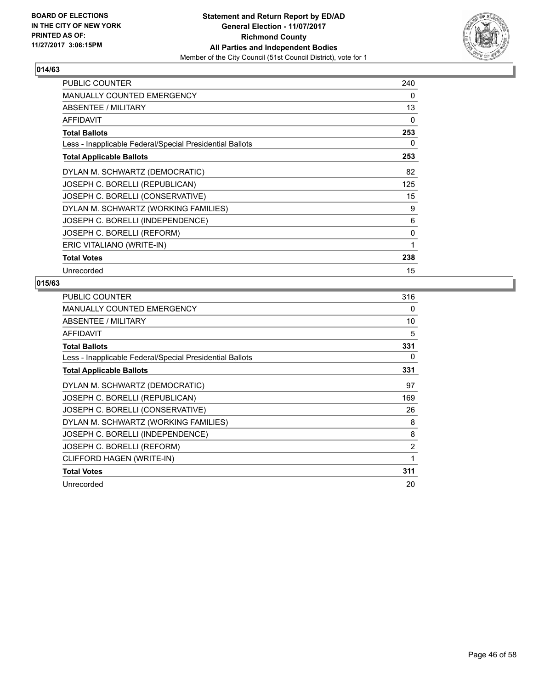

| <b>PUBLIC COUNTER</b>                                    | 240 |
|----------------------------------------------------------|-----|
| <b>MANUALLY COUNTED EMERGENCY</b>                        | 0   |
| ABSENTEE / MILITARY                                      | 13  |
| <b>AFFIDAVIT</b>                                         | 0   |
| <b>Total Ballots</b>                                     | 253 |
| Less - Inapplicable Federal/Special Presidential Ballots | 0   |
| <b>Total Applicable Ballots</b>                          | 253 |
| DYLAN M. SCHWARTZ (DEMOCRATIC)                           | 82  |
| JOSEPH C. BORELLI (REPUBLICAN)                           | 125 |
| JOSEPH C. BORELLI (CONSERVATIVE)                         | 15  |
| DYLAN M. SCHWARTZ (WORKING FAMILIES)                     | 9   |
| JOSEPH C. BORELLI (INDEPENDENCE)                         | 6   |
| JOSEPH C. BORELLI (REFORM)                               | 0   |
| ERIC VITALIANO (WRITE-IN)                                | 1   |
| <b>Total Votes</b>                                       | 238 |
| Unrecorded                                               | 15  |

| <b>PUBLIC COUNTER</b>                                    | 316            |
|----------------------------------------------------------|----------------|
| MANUALLY COUNTED EMERGENCY                               | 0              |
| ABSENTEE / MILITARY                                      | 10             |
| AFFIDAVIT                                                | 5              |
| <b>Total Ballots</b>                                     | 331            |
| Less - Inapplicable Federal/Special Presidential Ballots | 0              |
| <b>Total Applicable Ballots</b>                          | 331            |
| DYLAN M. SCHWARTZ (DEMOCRATIC)                           | 97             |
| JOSEPH C. BORELLI (REPUBLICAN)                           | 169            |
| JOSEPH C. BORELLI (CONSERVATIVE)                         | 26             |
| DYLAN M. SCHWARTZ (WORKING FAMILIES)                     | 8              |
| JOSEPH C. BORELLI (INDEPENDENCE)                         | 8              |
| JOSEPH C. BORELLI (REFORM)                               | $\overline{2}$ |
| CLIFFORD HAGEN (WRITE-IN)                                | 1              |
| <b>Total Votes</b>                                       | 311            |
| Unrecorded                                               | 20             |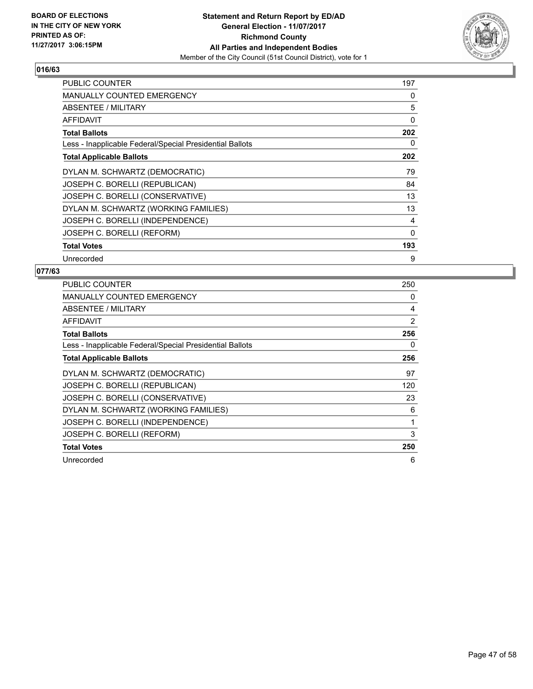

| PUBLIC COUNTER                                           | 197 |
|----------------------------------------------------------|-----|
| <b>MANUALLY COUNTED EMERGENCY</b>                        | 0   |
| ABSENTEE / MILITARY                                      | 5   |
| AFFIDAVIT                                                | 0   |
| <b>Total Ballots</b>                                     | 202 |
| Less - Inapplicable Federal/Special Presidential Ballots | 0   |
| <b>Total Applicable Ballots</b>                          | 202 |
| DYLAN M. SCHWARTZ (DEMOCRATIC)                           | 79  |
| JOSEPH C. BORELLI (REPUBLICAN)                           | 84  |
| JOSEPH C. BORELLI (CONSERVATIVE)                         | 13  |
| DYLAN M. SCHWARTZ (WORKING FAMILIES)                     | 13  |
| JOSEPH C. BORELLI (INDEPENDENCE)                         | 4   |
| JOSEPH C. BORELLI (REFORM)                               | 0   |
| <b>Total Votes</b>                                       | 193 |
| Unrecorded                                               | 9   |

| <b>PUBLIC COUNTER</b>                                    | 250 |
|----------------------------------------------------------|-----|
| <b>MANUALLY COUNTED EMERGENCY</b>                        | 0   |
| ABSENTEE / MILITARY                                      | 4   |
| AFFIDAVIT                                                | 2   |
| <b>Total Ballots</b>                                     | 256 |
| Less - Inapplicable Federal/Special Presidential Ballots | 0   |
| <b>Total Applicable Ballots</b>                          | 256 |
| DYLAN M. SCHWARTZ (DEMOCRATIC)                           | 97  |
| JOSEPH C. BORELLI (REPUBLICAN)                           | 120 |
| JOSEPH C. BORELLI (CONSERVATIVE)                         | 23  |
| DYLAN M. SCHWARTZ (WORKING FAMILIES)                     | 6   |
| JOSEPH C. BORELLI (INDEPENDENCE)                         | 1   |
| JOSEPH C. BORELLI (REFORM)                               | 3   |
| <b>Total Votes</b>                                       | 250 |
| Unrecorded                                               | 6   |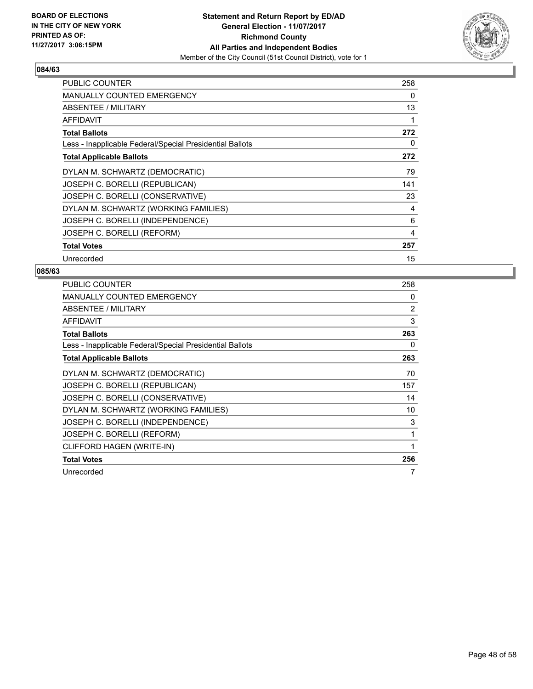

| <b>PUBLIC COUNTER</b>                                    | 258 |
|----------------------------------------------------------|-----|
| MANUALLY COUNTED EMERGENCY                               | 0   |
| ABSENTEE / MILITARY                                      | 13  |
| AFFIDAVIT                                                | 1   |
| <b>Total Ballots</b>                                     | 272 |
| Less - Inapplicable Federal/Special Presidential Ballots | 0   |
| <b>Total Applicable Ballots</b>                          | 272 |
| DYLAN M. SCHWARTZ (DEMOCRATIC)                           | 79  |
| JOSEPH C. BORELLI (REPUBLICAN)                           | 141 |
| JOSEPH C. BORELLI (CONSERVATIVE)                         | 23  |
| DYLAN M. SCHWARTZ (WORKING FAMILIES)                     | 4   |
| JOSEPH C. BORELLI (INDEPENDENCE)                         | 6   |
| JOSEPH C. BORELLI (REFORM)                               | 4   |
| <b>Total Votes</b>                                       | 257 |
| Unrecorded                                               | 15  |

| PUBLIC COUNTER                                           | 258 |
|----------------------------------------------------------|-----|
| MANUALLY COUNTED EMERGENCY                               | 0   |
| ABSENTEE / MILITARY                                      | 2   |
| AFFIDAVIT                                                | 3   |
| <b>Total Ballots</b>                                     | 263 |
| Less - Inapplicable Federal/Special Presidential Ballots | 0   |
| <b>Total Applicable Ballots</b>                          | 263 |
| DYLAN M. SCHWARTZ (DEMOCRATIC)                           | 70  |
| JOSEPH C. BORELLI (REPUBLICAN)                           | 157 |
| JOSEPH C. BORELLI (CONSERVATIVE)                         | 14  |
| DYLAN M. SCHWARTZ (WORKING FAMILIES)                     | 10  |
| JOSEPH C. BORELLI (INDEPENDENCE)                         | 3   |
| JOSEPH C. BORELLI (REFORM)                               | 1   |
| CLIFFORD HAGEN (WRITE-IN)                                | 1   |
| <b>Total Votes</b>                                       | 256 |
| Unrecorded                                               | 7   |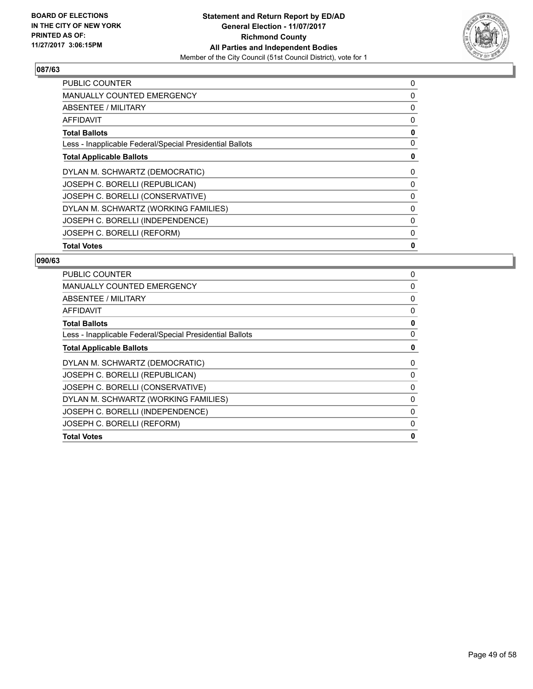

| <b>PUBLIC COUNTER</b>                                    | 0 |
|----------------------------------------------------------|---|
| MANUALLY COUNTED EMERGENCY                               | 0 |
| ABSENTEE / MILITARY                                      | 0 |
| AFFIDAVIT                                                | 0 |
| <b>Total Ballots</b>                                     | 0 |
| Less - Inapplicable Federal/Special Presidential Ballots | 0 |
| <b>Total Applicable Ballots</b>                          | 0 |
| DYLAN M. SCHWARTZ (DEMOCRATIC)                           | 0 |
| JOSEPH C. BORELLI (REPUBLICAN)                           | 0 |
| JOSEPH C. BORELLI (CONSERVATIVE)                         | 0 |
| DYLAN M. SCHWARTZ (WORKING FAMILIES)                     | 0 |
| JOSEPH C. BORELLI (INDEPENDENCE)                         | 0 |
| JOSEPH C. BORELLI (REFORM)                               | 0 |
| <b>Total Votes</b>                                       | 0 |

| 0 |
|---|
| 0 |
| 0 |
| 0 |
| 0 |
| 0 |
| 0 |
| 0 |
| 0 |
| 0 |
| 0 |
| 0 |
| 0 |
| 0 |
|   |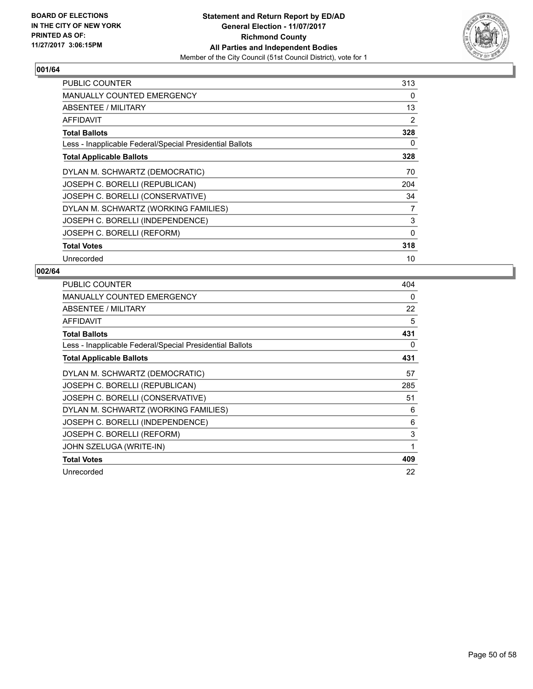

| <b>PUBLIC COUNTER</b>                                    | 313      |
|----------------------------------------------------------|----------|
| <b>MANUALLY COUNTED EMERGENCY</b>                        | 0        |
| ABSENTEE / MILITARY                                      | 13       |
| AFFIDAVIT                                                | 2        |
| <b>Total Ballots</b>                                     | 328      |
| Less - Inapplicable Federal/Special Presidential Ballots | 0        |
| <b>Total Applicable Ballots</b>                          | 328      |
| DYLAN M. SCHWARTZ (DEMOCRATIC)                           | 70       |
| JOSEPH C. BORELLI (REPUBLICAN)                           | 204      |
| JOSEPH C. BORELLI (CONSERVATIVE)                         | 34       |
| DYLAN M. SCHWARTZ (WORKING FAMILIES)                     | 7        |
| JOSEPH C. BORELLI (INDEPENDENCE)                         | 3        |
| JOSEPH C. BORELLI (REFORM)                               | $\Omega$ |
| <b>Total Votes</b>                                       | 318      |
| Unrecorded                                               | 10       |

| <b>PUBLIC COUNTER</b>                                    | 404 |
|----------------------------------------------------------|-----|
| MANUALLY COUNTED EMERGENCY                               | 0   |
| ABSENTEE / MILITARY                                      | 22  |
| <b>AFFIDAVIT</b>                                         | 5   |
| <b>Total Ballots</b>                                     | 431 |
| Less - Inapplicable Federal/Special Presidential Ballots | 0   |
| <b>Total Applicable Ballots</b>                          | 431 |
| DYLAN M. SCHWARTZ (DEMOCRATIC)                           | 57  |
| JOSEPH C. BORELLI (REPUBLICAN)                           | 285 |
| JOSEPH C. BORELLI (CONSERVATIVE)                         | 51  |
| DYLAN M. SCHWARTZ (WORKING FAMILIES)                     | 6   |
| JOSEPH C. BORELLI (INDEPENDENCE)                         | 6   |
| JOSEPH C. BORELLI (REFORM)                               | 3   |
| JOHN SZELUGA (WRITE-IN)                                  | 1   |
| <b>Total Votes</b>                                       | 409 |
| Unrecorded                                               | 22  |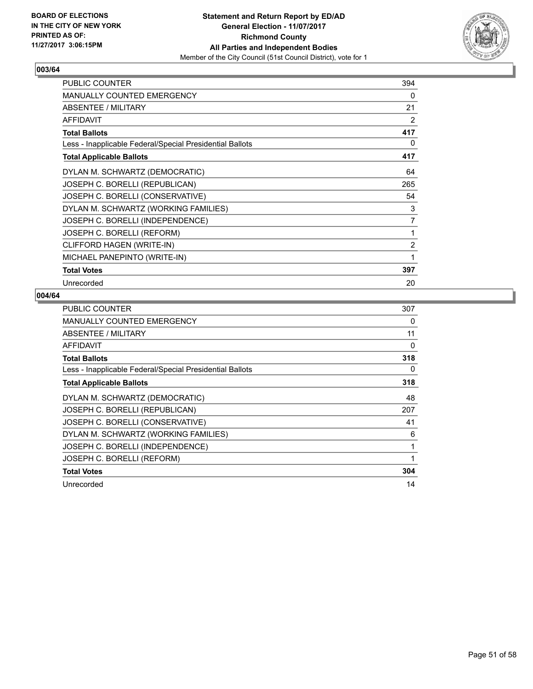

| <b>PUBLIC COUNTER</b>                                    | 394            |
|----------------------------------------------------------|----------------|
| <b>MANUALLY COUNTED EMERGENCY</b>                        | 0              |
| <b>ABSENTEE / MILITARY</b>                               | 21             |
| <b>AFFIDAVIT</b>                                         | 2              |
| <b>Total Ballots</b>                                     | 417            |
| Less - Inapplicable Federal/Special Presidential Ballots | 0              |
| <b>Total Applicable Ballots</b>                          | 417            |
| DYLAN M. SCHWARTZ (DEMOCRATIC)                           | 64             |
| JOSEPH C. BORELLI (REPUBLICAN)                           | 265            |
| JOSEPH C. BORELLI (CONSERVATIVE)                         | 54             |
| DYLAN M. SCHWARTZ (WORKING FAMILIES)                     | 3              |
| JOSEPH C. BORELLI (INDEPENDENCE)                         | 7              |
| JOSEPH C. BORELLI (REFORM)                               | 1              |
| CLIFFORD HAGEN (WRITE-IN)                                | $\overline{2}$ |
| MICHAEL PANEPINTO (WRITE-IN)                             | 1              |
| <b>Total Votes</b>                                       | 397            |
| Unrecorded                                               | 20             |

| <b>PUBLIC COUNTER</b>                                    | 307 |
|----------------------------------------------------------|-----|
| <b>MANUALLY COUNTED EMERGENCY</b>                        | 0   |
| ABSENTEE / MILITARY                                      | 11  |
| AFFIDAVIT                                                | 0   |
| <b>Total Ballots</b>                                     | 318 |
| Less - Inapplicable Federal/Special Presidential Ballots | 0   |
| <b>Total Applicable Ballots</b>                          | 318 |
| DYLAN M. SCHWARTZ (DEMOCRATIC)                           | 48  |
| JOSEPH C. BORELLI (REPUBLICAN)                           | 207 |
| JOSEPH C. BORELLI (CONSERVATIVE)                         | 41  |
| DYLAN M. SCHWARTZ (WORKING FAMILIES)                     | 6   |
| JOSEPH C. BORELLI (INDEPENDENCE)                         | 1   |
| JOSEPH C. BORELLI (REFORM)                               | 1   |
| <b>Total Votes</b>                                       | 304 |
| Unrecorded                                               | 14  |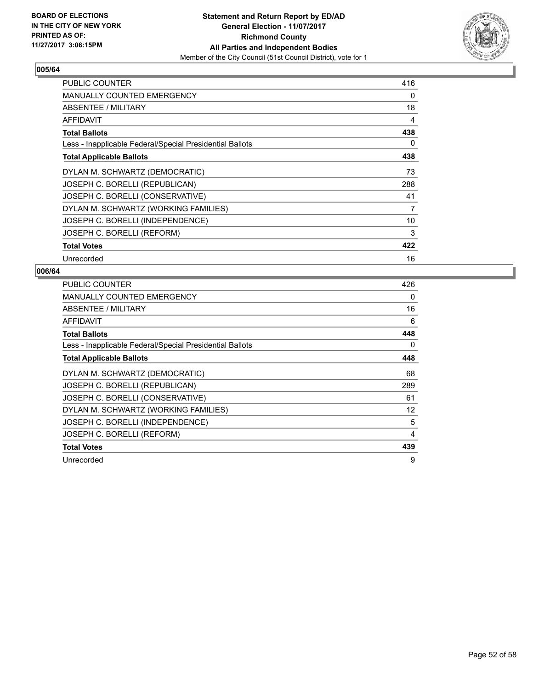

| <b>PUBLIC COUNTER</b>                                    | 416 |
|----------------------------------------------------------|-----|
| <b>MANUALLY COUNTED EMERGENCY</b>                        | 0   |
| <b>ABSENTEE / MILITARY</b>                               | 18  |
| <b>AFFIDAVIT</b>                                         | 4   |
| <b>Total Ballots</b>                                     | 438 |
| Less - Inapplicable Federal/Special Presidential Ballots | 0   |
| <b>Total Applicable Ballots</b>                          | 438 |
| DYLAN M. SCHWARTZ (DEMOCRATIC)                           | 73  |
| JOSEPH C. BORELLI (REPUBLICAN)                           | 288 |
| JOSEPH C. BORELLI (CONSERVATIVE)                         | 41  |
| DYLAN M. SCHWARTZ (WORKING FAMILIES)                     | 7   |
| JOSEPH C. BORELLI (INDEPENDENCE)                         | 10  |
| JOSEPH C. BORELLI (REFORM)                               | 3   |
| <b>Total Votes</b>                                       | 422 |
| Unrecorded                                               | 16  |

| <b>PUBLIC COUNTER</b>                                    | 426 |
|----------------------------------------------------------|-----|
| <b>MANUALLY COUNTED EMERGENCY</b>                        | 0   |
| ABSENTEE / MILITARY                                      | 16  |
| AFFIDAVIT                                                | 6   |
| <b>Total Ballots</b>                                     | 448 |
| Less - Inapplicable Federal/Special Presidential Ballots | 0   |
| <b>Total Applicable Ballots</b>                          | 448 |
| DYLAN M. SCHWARTZ (DEMOCRATIC)                           | 68  |
| JOSEPH C. BORELLI (REPUBLICAN)                           | 289 |
| JOSEPH C. BORELLI (CONSERVATIVE)                         | 61  |
| DYLAN M. SCHWARTZ (WORKING FAMILIES)                     | 12  |
| JOSEPH C. BORELLI (INDEPENDENCE)                         | 5   |
| JOSEPH C. BORELLI (REFORM)                               | 4   |
| <b>Total Votes</b>                                       | 439 |
| Unrecorded                                               | 9   |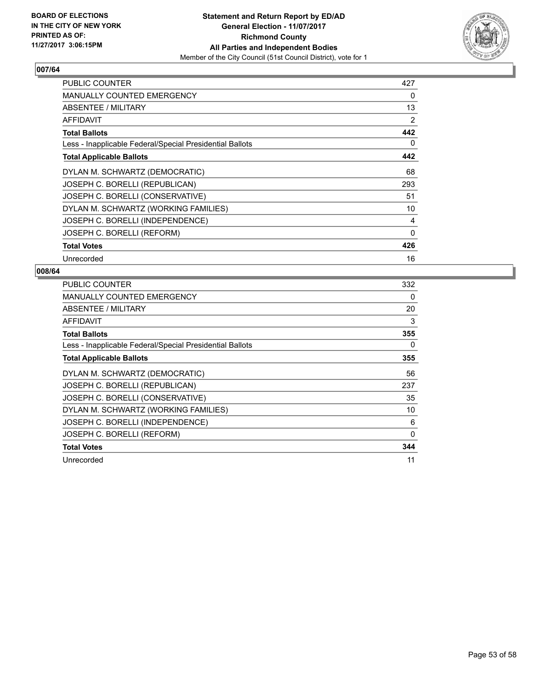

| <b>PUBLIC COUNTER</b>                                    | 427      |
|----------------------------------------------------------|----------|
| <b>MANUALLY COUNTED EMERGENCY</b>                        | 0        |
| <b>ABSENTEE / MILITARY</b>                               | 13       |
| AFFIDAVIT                                                | 2        |
| <b>Total Ballots</b>                                     | 442      |
| Less - Inapplicable Federal/Special Presidential Ballots | 0        |
| <b>Total Applicable Ballots</b>                          | 442      |
| DYLAN M. SCHWARTZ (DEMOCRATIC)                           | 68       |
| JOSEPH C. BORELLI (REPUBLICAN)                           | 293      |
| JOSEPH C. BORELLI (CONSERVATIVE)                         | 51       |
| DYLAN M. SCHWARTZ (WORKING FAMILIES)                     | 10       |
| JOSEPH C. BORELLI (INDEPENDENCE)                         | 4        |
| JOSEPH C. BORELLI (REFORM)                               | $\Omega$ |
| <b>Total Votes</b>                                       | 426      |
| Unrecorded                                               | 16       |

| <b>PUBLIC COUNTER</b>                                    | 332 |
|----------------------------------------------------------|-----|
| MANUALLY COUNTED EMERGENCY                               | 0   |
| ABSENTEE / MILITARY                                      | 20  |
| AFFIDAVIT                                                | 3   |
| <b>Total Ballots</b>                                     | 355 |
| Less - Inapplicable Federal/Special Presidential Ballots | 0   |
| <b>Total Applicable Ballots</b>                          | 355 |
| DYLAN M. SCHWARTZ (DEMOCRATIC)                           | 56  |
| JOSEPH C. BORELLI (REPUBLICAN)                           | 237 |
| JOSEPH C. BORELLI (CONSERVATIVE)                         | 35  |
| DYLAN M. SCHWARTZ (WORKING FAMILIES)                     | 10  |
| JOSEPH C. BORELLI (INDEPENDENCE)                         | 6   |
| JOSEPH C. BORELLI (REFORM)                               | 0   |
| <b>Total Votes</b>                                       | 344 |
| Unrecorded                                               | 11  |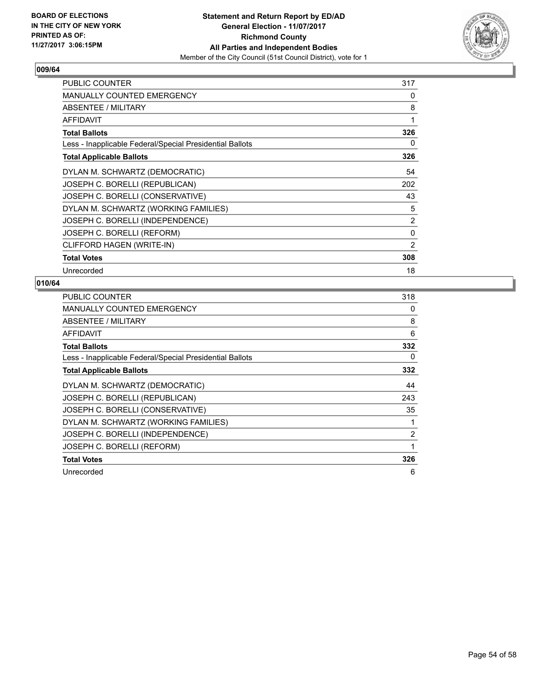

| PUBLIC COUNTER                                           | 317 |
|----------------------------------------------------------|-----|
| <b>MANUALLY COUNTED EMERGENCY</b>                        | 0   |
| ABSENTEE / MILITARY                                      | 8   |
| <b>AFFIDAVIT</b>                                         | 1   |
| <b>Total Ballots</b>                                     | 326 |
| Less - Inapplicable Federal/Special Presidential Ballots | 0   |
| <b>Total Applicable Ballots</b>                          | 326 |
| DYLAN M. SCHWARTZ (DEMOCRATIC)                           | 54  |
| JOSEPH C. BORELLI (REPUBLICAN)                           | 202 |
| JOSEPH C. BORELLI (CONSERVATIVE)                         | 43  |
| DYLAN M. SCHWARTZ (WORKING FAMILIES)                     | 5   |
| JOSEPH C. BORELLI (INDEPENDENCE)                         | 2   |
| JOSEPH C. BORELLI (REFORM)                               | 0   |
| CLIFFORD HAGEN (WRITE-IN)                                | 2   |
| <b>Total Votes</b>                                       | 308 |
| Unrecorded                                               | 18  |

| <b>PUBLIC COUNTER</b>                                    | 318            |
|----------------------------------------------------------|----------------|
| <b>MANUALLY COUNTED EMERGENCY</b>                        | 0              |
| ABSENTEE / MILITARY                                      | 8              |
| AFFIDAVIT                                                | 6              |
| <b>Total Ballots</b>                                     | 332            |
| Less - Inapplicable Federal/Special Presidential Ballots | 0              |
| <b>Total Applicable Ballots</b>                          | 332            |
| DYLAN M. SCHWARTZ (DEMOCRATIC)                           | 44             |
| JOSEPH C. BORELLI (REPUBLICAN)                           | 243            |
| JOSEPH C. BORELLI (CONSERVATIVE)                         | 35             |
| DYLAN M. SCHWARTZ (WORKING FAMILIES)                     | 1              |
| JOSEPH C. BORELLI (INDEPENDENCE)                         | $\overline{2}$ |
| JOSEPH C. BORELLI (REFORM)                               | 1              |
| <b>Total Votes</b>                                       | 326            |
| Unrecorded                                               | 6              |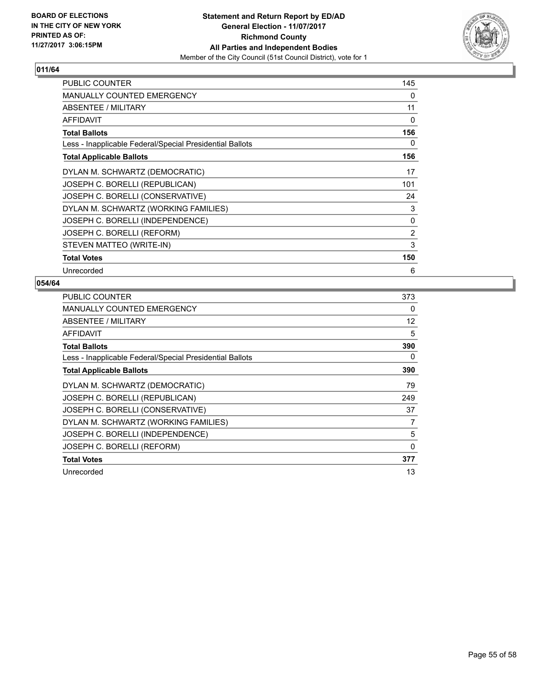

| <b>PUBLIC COUNTER</b>                                    | 145          |
|----------------------------------------------------------|--------------|
| <b>MANUALLY COUNTED EMERGENCY</b>                        | 0            |
| ABSENTEE / MILITARY                                      | 11           |
| <b>AFFIDAVIT</b>                                         | 0            |
| <b>Total Ballots</b>                                     | 156          |
| Less - Inapplicable Federal/Special Presidential Ballots | 0            |
| <b>Total Applicable Ballots</b>                          | 156          |
| DYLAN M. SCHWARTZ (DEMOCRATIC)                           | 17           |
| JOSEPH C. BORELLI (REPUBLICAN)                           | 101          |
| JOSEPH C. BORELLI (CONSERVATIVE)                         | 24           |
| DYLAN M. SCHWARTZ (WORKING FAMILIES)                     | 3            |
| JOSEPH C. BORELLI (INDEPENDENCE)                         | $\mathbf{0}$ |
| JOSEPH C. BORELLI (REFORM)                               | 2            |
| STEVEN MATTEO (WRITE-IN)                                 | 3            |
| <b>Total Votes</b>                                       | 150          |
| Unrecorded                                               | 6            |

| <b>PUBLIC COUNTER</b>                                    | 373 |
|----------------------------------------------------------|-----|
| MANUALLY COUNTED EMERGENCY                               | 0   |
| ABSENTEE / MILITARY                                      | 12  |
| <b>AFFIDAVIT</b>                                         | 5   |
| <b>Total Ballots</b>                                     | 390 |
| Less - Inapplicable Federal/Special Presidential Ballots | 0   |
| <b>Total Applicable Ballots</b>                          | 390 |
| DYLAN M. SCHWARTZ (DEMOCRATIC)                           | 79  |
| JOSEPH C. BORELLI (REPUBLICAN)                           | 249 |
| JOSEPH C. BORELLI (CONSERVATIVE)                         | 37  |
| DYLAN M. SCHWARTZ (WORKING FAMILIES)                     | 7   |
| JOSEPH C. BORELLI (INDEPENDENCE)                         | 5   |
| JOSEPH C. BORELLI (REFORM)                               | 0   |
| <b>Total Votes</b>                                       | 377 |
| Unrecorded                                               | 13  |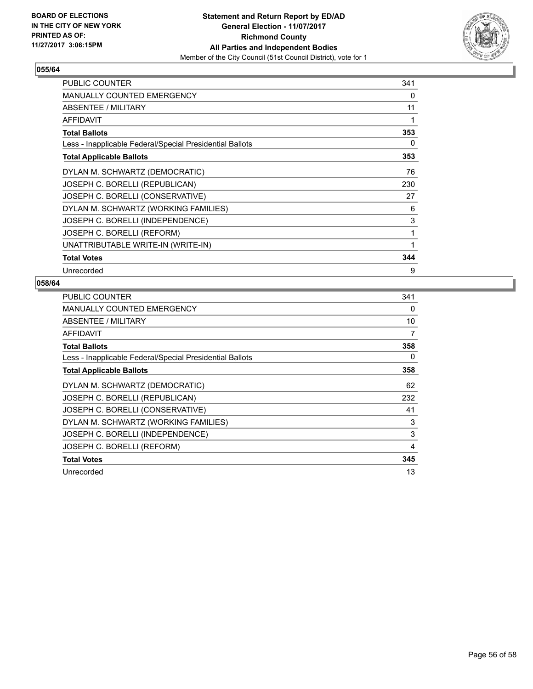

| PUBLIC COUNTER                                           | 341 |
|----------------------------------------------------------|-----|
| <b>MANUALLY COUNTED EMERGENCY</b>                        | 0   |
| ABSENTEE / MILITARY                                      | 11  |
| AFFIDAVIT                                                | 1   |
| <b>Total Ballots</b>                                     | 353 |
| Less - Inapplicable Federal/Special Presidential Ballots | 0   |
| <b>Total Applicable Ballots</b>                          | 353 |
| DYLAN M. SCHWARTZ (DEMOCRATIC)                           | 76  |
| JOSEPH C. BORELLI (REPUBLICAN)                           | 230 |
| JOSEPH C. BORELLI (CONSERVATIVE)                         | 27  |
| DYLAN M. SCHWARTZ (WORKING FAMILIES)                     | 6   |
| JOSEPH C. BORELLI (INDEPENDENCE)                         | 3   |
| JOSEPH C. BORELLI (REFORM)                               | 1   |
| UNATTRIBUTABLE WRITE-IN (WRITE-IN)                       | 1   |
| <b>Total Votes</b>                                       | 344 |
| Unrecorded                                               | 9   |

| <b>PUBLIC COUNTER</b>                                    | 341 |
|----------------------------------------------------------|-----|
| MANUALLY COUNTED EMERGENCY                               | 0   |
| ABSENTEE / MILITARY                                      | 10  |
| AFFIDAVIT                                                | 7   |
| <b>Total Ballots</b>                                     | 358 |
| Less - Inapplicable Federal/Special Presidential Ballots | 0   |
| <b>Total Applicable Ballots</b>                          | 358 |
| DYLAN M. SCHWARTZ (DEMOCRATIC)                           | 62  |
| JOSEPH C. BORELLI (REPUBLICAN)                           | 232 |
| JOSEPH C. BORELLI (CONSERVATIVE)                         | 41  |
| DYLAN M. SCHWARTZ (WORKING FAMILIES)                     | 3   |
| JOSEPH C. BORELLI (INDEPENDENCE)                         | 3   |
| JOSEPH C. BORELLI (REFORM)                               | 4   |
| <b>Total Votes</b>                                       | 345 |
| Unrecorded                                               | 13  |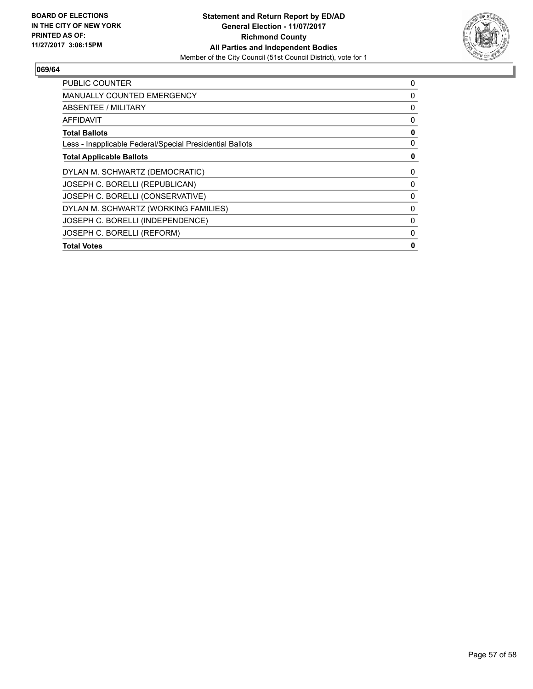

| <b>PUBLIC COUNTER</b>                                    | 0 |
|----------------------------------------------------------|---|
| <b>MANUALLY COUNTED EMERGENCY</b>                        | 0 |
| ABSENTEE / MILITARY                                      | 0 |
| AFFIDAVIT                                                | 0 |
| <b>Total Ballots</b>                                     | 0 |
| Less - Inapplicable Federal/Special Presidential Ballots | 0 |
| <b>Total Applicable Ballots</b>                          | 0 |
| DYLAN M. SCHWARTZ (DEMOCRATIC)                           | 0 |
| JOSEPH C. BORELLI (REPUBLICAN)                           | 0 |
| JOSEPH C. BORELLI (CONSERVATIVE)                         | 0 |
| DYLAN M. SCHWARTZ (WORKING FAMILIES)                     | 0 |
| JOSEPH C. BORELLI (INDEPENDENCE)                         | 0 |
| JOSEPH C. BORELLI (REFORM)                               | 0 |
| <b>Total Votes</b>                                       | 0 |